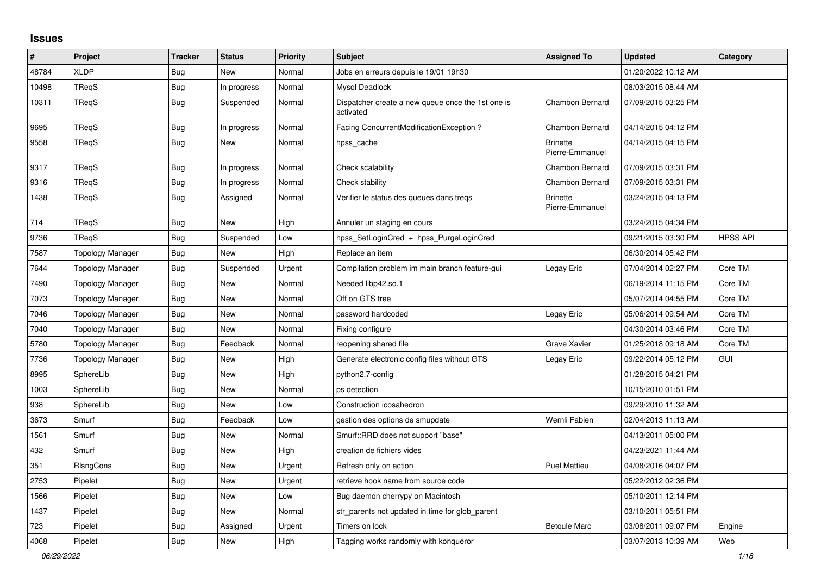## **Issues**

| #     | Project                 | <b>Tracker</b> | <b>Status</b> | <b>Priority</b> | Subject                                                        | <b>Assigned To</b>                 | <b>Updated</b>      | Category        |
|-------|-------------------------|----------------|---------------|-----------------|----------------------------------------------------------------|------------------------------------|---------------------|-----------------|
| 48784 | <b>XLDP</b>             | <b>Bug</b>     | New           | Normal          | Jobs en erreurs depuis le 19/01 19h30                          |                                    | 01/20/2022 10:12 AM |                 |
| 10498 | TReqS                   | <b>Bug</b>     | In progress   | Normal          | Mysql Deadlock                                                 |                                    | 08/03/2015 08:44 AM |                 |
| 10311 | TReqS                   | Bug            | Suspended     | Normal          | Dispatcher create a new queue once the 1st one is<br>activated | <b>Chambon Bernard</b>             | 07/09/2015 03:25 PM |                 |
| 9695  | TReqS                   | <b>Bug</b>     | In progress   | Normal          | Facing ConcurrentModificationException?                        | Chambon Bernard                    | 04/14/2015 04:12 PM |                 |
| 9558  | TReqS                   | Bug            | New           | Normal          | hpss_cache                                                     | <b>Brinette</b><br>Pierre-Emmanuel | 04/14/2015 04:15 PM |                 |
| 9317  | TReqS                   | <b>Bug</b>     | In progress   | Normal          | Check scalability                                              | Chambon Bernard                    | 07/09/2015 03:31 PM |                 |
| 9316  | TReqS                   | Bug            | In progress   | Normal          | Check stability                                                | Chambon Bernard                    | 07/09/2015 03:31 PM |                 |
| 1438  | TRegS                   | <b>Bug</b>     | Assigned      | Normal          | Verifier le status des queues dans tregs                       | <b>Brinette</b><br>Pierre-Emmanuel | 03/24/2015 04:13 PM |                 |
| 714   | TReqS                   | Bug            | <b>New</b>    | High            | Annuler un staging en cours                                    |                                    | 03/24/2015 04:34 PM |                 |
| 9736  | TReqS                   | <b>Bug</b>     | Suspended     | Low             | hpss SetLoginCred + hpss PurgeLoginCred                        |                                    | 09/21/2015 03:30 PM | <b>HPSS API</b> |
| 7587  | Topology Manager        | <b>Bug</b>     | <b>New</b>    | High            | Replace an item                                                |                                    | 06/30/2014 05:42 PM |                 |
| 7644  | <b>Topology Manager</b> | <b>Bug</b>     | Suspended     | Urgent          | Compilation problem im main branch feature-gui                 | Legay Eric                         | 07/04/2014 02:27 PM | Core TM         |
| 7490  | Topology Manager        | Bug            | New           | Normal          | Needed libp42.so.1                                             |                                    | 06/19/2014 11:15 PM | Core TM         |
| 7073  | Topology Manager        | <b>Bug</b>     | New           | Normal          | Off on GTS tree                                                |                                    | 05/07/2014 04:55 PM | Core TM         |
| 7046  | Topology Manager        | <b>Bug</b>     | New           | Normal          | password hardcoded                                             | Legay Eric                         | 05/06/2014 09:54 AM | Core TM         |
| 7040  | <b>Topology Manager</b> | Bug            | <b>New</b>    | Normal          | Fixing configure                                               |                                    | 04/30/2014 03:46 PM | Core TM         |
| 5780  | <b>Topology Manager</b> | <b>Bug</b>     | Feedback      | Normal          | reopening shared file                                          | Grave Xavier                       | 01/25/2018 09:18 AM | Core TM         |
| 7736  | Topology Manager        | <b>Bug</b>     | <b>New</b>    | High            | Generate electronic config files without GTS                   | Legay Eric                         | 09/22/2014 05:12 PM | <b>GUI</b>      |
| 8995  | SphereLib               | <b>Bug</b>     | New           | High            | python2.7-config                                               |                                    | 01/28/2015 04:21 PM |                 |
| 1003  | SphereLib               | Bug            | <b>New</b>    | Normal          | ps detection                                                   |                                    | 10/15/2010 01:51 PM |                 |
| 938   | SphereLib               | <b>Bug</b>     | <b>New</b>    | Low             | Construction icosahedron                                       |                                    | 09/29/2010 11:32 AM |                 |
| 3673  | Smurf                   | Bug            | Feedback      | Low             | gestion des options de smupdate                                | Wernli Fabien                      | 02/04/2013 11:13 AM |                 |
| 1561  | Smurf                   | <b>Bug</b>     | <b>New</b>    | Normal          | Smurf::RRD does not support "base"                             |                                    | 04/13/2011 05:00 PM |                 |
| 432   | Smurf                   | <b>Bug</b>     | <b>New</b>    | High            | creation de fichiers vides                                     |                                    | 04/23/2021 11:44 AM |                 |
| 351   | RIsngCons               | <b>Bug</b>     | <b>New</b>    | Urgent          | Refresh only on action                                         | <b>Puel Mattieu</b>                | 04/08/2016 04:07 PM |                 |
| 2753  | Pipelet                 | <b>Bug</b>     | New           | Urgent          | retrieve hook name from source code                            |                                    | 05/22/2012 02:36 PM |                 |
| 1566  | Pipelet                 | <b>Bug</b>     | <b>New</b>    | Low             | Bug daemon cherrypy on Macintosh                               |                                    | 05/10/2011 12:14 PM |                 |
| 1437  | Pipelet                 | <b>Bug</b>     | New           | Normal          | str_parents not updated in time for glob_parent                |                                    | 03/10/2011 05:51 PM |                 |
| 723   | Pipelet                 | Bug            | Assigned      | Urgent          | Timers on lock                                                 | <b>Betoule Marc</b>                | 03/08/2011 09:07 PM | Engine          |
| 4068  | Pipelet                 | Bug            | New           | High            | Tagging works randomly with konqueror                          |                                    | 03/07/2013 10:39 AM | Web             |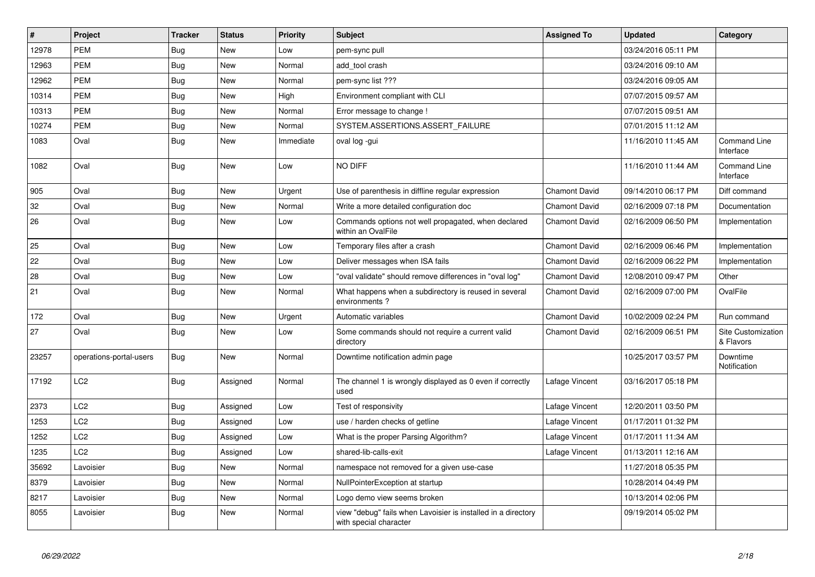| $\sharp$ | Project                 | <b>Tracker</b> | <b>Status</b> | <b>Priority</b> | <b>Subject</b>                                                                          | <b>Assigned To</b>   | <b>Updated</b>      | Category                         |
|----------|-------------------------|----------------|---------------|-----------------|-----------------------------------------------------------------------------------------|----------------------|---------------------|----------------------------------|
| 12978    | <b>PEM</b>              | <b>Bug</b>     | New           | Low             | pem-sync pull                                                                           |                      | 03/24/2016 05:11 PM |                                  |
| 12963    | <b>PEM</b>              | <b>Bug</b>     | New           | Normal          | add tool crash                                                                          |                      | 03/24/2016 09:10 AM |                                  |
| 12962    | <b>PEM</b>              | Bug            | New           | Normal          | pem-sync list ???                                                                       |                      | 03/24/2016 09:05 AM |                                  |
| 10314    | <b>PEM</b>              | <b>Bug</b>     | <b>New</b>    | High            | Environment compliant with CLI                                                          |                      | 07/07/2015 09:57 AM |                                  |
| 10313    | <b>PEM</b>              | <b>Bug</b>     | New           | Normal          | Error message to change !                                                               |                      | 07/07/2015 09:51 AM |                                  |
| 10274    | <b>PEM</b>              | Bug            | New           | Normal          | SYSTEM.ASSERTIONS.ASSERT_FAILURE                                                        |                      | 07/01/2015 11:12 AM |                                  |
| 1083     | Oval                    | Bug            | <b>New</b>    | Immediate       | oval log -gui                                                                           |                      | 11/16/2010 11:45 AM | <b>Command Line</b><br>Interface |
| 1082     | Oval                    | <b>Bug</b>     | New           | Low             | NO DIFF                                                                                 |                      | 11/16/2010 11:44 AM | Command Line<br>Interface        |
| 905      | Oval                    | Bug            | <b>New</b>    | Urgent          | Use of parenthesis in diffline regular expression                                       | <b>Chamont David</b> | 09/14/2010 06:17 PM | Diff command                     |
| 32       | Oval                    | <b>Bug</b>     | <b>New</b>    | Normal          | Write a more detailed configuration doc                                                 | <b>Chamont David</b> | 02/16/2009 07:18 PM | Documentation                    |
| 26       | Oval                    | <b>Bug</b>     | <b>New</b>    | Low             | Commands options not well propagated, when declared<br>within an OvalFile               | <b>Chamont David</b> | 02/16/2009 06:50 PM | Implementation                   |
| 25       | Oval                    | <b>Bug</b>     | New           | Low             | Temporary files after a crash                                                           | <b>Chamont David</b> | 02/16/2009 06:46 PM | Implementation                   |
| 22       | Oval                    | <b>Bug</b>     | <b>New</b>    | Low             | Deliver messages when ISA fails                                                         | <b>Chamont David</b> | 02/16/2009 06:22 PM | Implementation                   |
| 28       | Oval                    | Bug            | New           | Low             | 'oval validate" should remove differences in "oval log"                                 | <b>Chamont David</b> | 12/08/2010 09:47 PM | Other                            |
| 21       | Oval                    | <b>Bug</b>     | <b>New</b>    | Normal          | What happens when a subdirectory is reused in several<br>environments?                  | <b>Chamont David</b> | 02/16/2009 07:00 PM | OvalFile                         |
| 172      | Oval                    | <b>Bug</b>     | New           | Urgent          | Automatic variables                                                                     | <b>Chamont David</b> | 10/02/2009 02:24 PM | Run command                      |
| 27       | Oval                    | <b>Bug</b>     | <b>New</b>    | Low             | Some commands should not require a current valid<br>directory                           | <b>Chamont David</b> | 02/16/2009 06:51 PM | Site Customization<br>& Flavors  |
| 23257    | operations-portal-users | <b>Bug</b>     | New           | Normal          | Downtime notification admin page                                                        |                      | 10/25/2017 03:57 PM | Downtime<br>Notification         |
| 17192    | LC <sub>2</sub>         | Bug            | Assigned      | Normal          | The channel 1 is wrongly displayed as 0 even if correctly<br>used                       | Lafage Vincent       | 03/16/2017 05:18 PM |                                  |
| 2373     | LC <sub>2</sub>         | <b>Bug</b>     | Assigned      | Low             | Test of responsivity                                                                    | Lafage Vincent       | 12/20/2011 03:50 PM |                                  |
| 1253     | LC <sub>2</sub>         | Bug            | Assigned      | Low             | use / harden checks of getline                                                          | Lafage Vincent       | 01/17/2011 01:32 PM |                                  |
| 1252     | LC <sub>2</sub>         | <b>Bug</b>     | Assigned      | Low             | What is the proper Parsing Algorithm?                                                   | Lafage Vincent       | 01/17/2011 11:34 AM |                                  |
| 1235     | LC <sub>2</sub>         | Bug            | Assigned      | Low             | shared-lib-calls-exit                                                                   | Lafage Vincent       | 01/13/2011 12:16 AM |                                  |
| 35692    | Lavoisier               | Bug            | New           | Normal          | namespace not removed for a given use-case                                              |                      | 11/27/2018 05:35 PM |                                  |
| 8379     | Lavoisier               | <b>Bug</b>     | <b>New</b>    | Normal          | NullPointerException at startup                                                         |                      | 10/28/2014 04:49 PM |                                  |
| 8217     | Lavoisier               | Bug            | New           | Normal          | Logo demo view seems broken                                                             |                      | 10/13/2014 02:06 PM |                                  |
| 8055     | Lavoisier               | Bug            | <b>New</b>    | Normal          | view "debug" fails when Lavoisier is installed in a directory<br>with special character |                      | 09/19/2014 05:02 PM |                                  |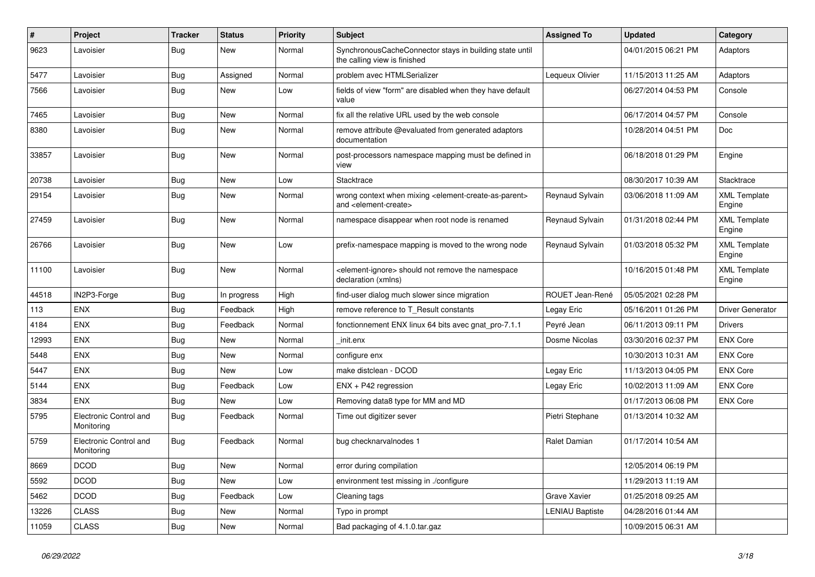| $\vert$ # | Project                              | <b>Tracker</b> | <b>Status</b> | <b>Priority</b> | <b>Subject</b>                                                                                                            | <b>Assigned To</b>     | <b>Updated</b>      | Category                      |
|-----------|--------------------------------------|----------------|---------------|-----------------|---------------------------------------------------------------------------------------------------------------------------|------------------------|---------------------|-------------------------------|
| 9623      | Lavoisier                            | Bug            | New           | Normal          | SynchronousCacheConnector stays in building state until<br>the calling view is finished                                   |                        | 04/01/2015 06:21 PM | Adaptors                      |
| 5477      | Lavoisier                            | Bug            | Assigned      | Normal          | problem avec HTMLSerializer                                                                                               | Lequeux Olivier        | 11/15/2013 11:25 AM | Adaptors                      |
| 7566      | Lavoisier                            | Bug            | New           | Low             | fields of view "form" are disabled when they have default<br>value                                                        |                        | 06/27/2014 04:53 PM | Console                       |
| 7465      | Lavoisier                            | <b>Bug</b>     | New           | Normal          | fix all the relative URL used by the web console                                                                          |                        | 06/17/2014 04:57 PM | Console                       |
| 8380      | Lavoisier                            | <b>Bug</b>     | New           | Normal          | remove attribute @evaluated from generated adaptors<br>documentation                                                      |                        | 10/28/2014 04:51 PM | Doc                           |
| 33857     | Lavoisier                            | <b>Bug</b>     | <b>New</b>    | Normal          | post-processors namespace mapping must be defined in<br>view                                                              |                        | 06/18/2018 01:29 PM | Engine                        |
| 20738     | Lavoisier                            | <b>Bug</b>     | <b>New</b>    | Low             | Stacktrace                                                                                                                |                        | 08/30/2017 10:39 AM | Stacktrace                    |
| 29154     | Lavoisier                            | Bug            | New           | Normal          | wrong context when mixing <element-create-as-parent><br/>and <element-create></element-create></element-create-as-parent> | Reynaud Sylvain        | 03/06/2018 11:09 AM | <b>XML Template</b><br>Engine |
| 27459     | Lavoisier                            | Bug            | New           | Normal          | namespace disappear when root node is renamed                                                                             | Reynaud Sylvain        | 01/31/2018 02:44 PM | <b>XML Template</b><br>Engine |
| 26766     | Lavoisier                            | <b>Bug</b>     | New           | Low             | prefix-namespace mapping is moved to the wrong node                                                                       | Reynaud Sylvain        | 01/03/2018 05:32 PM | <b>XML Template</b><br>Engine |
| 11100     | Lavoisier                            | <b>Bug</b>     | New           | Normal          | <element-ignore> should not remove the namespace<br/>declaration (xmlns)</element-ignore>                                 |                        | 10/16/2015 01:48 PM | <b>XML Template</b><br>Engine |
| 44518     | IN2P3-Forge                          | Bug            | In progress   | High            | find-user dialog much slower since migration                                                                              | ROUET Jean-René        | 05/05/2021 02:28 PM |                               |
| 113       | <b>ENX</b>                           | Bug            | Feedback      | High            | remove reference to T_Result constants                                                                                    | Legay Eric             | 05/16/2011 01:26 PM | Driver Generator              |
| 4184      | <b>ENX</b>                           | Bug            | Feedback      | Normal          | fonctionnement ENX linux 64 bits avec gnat_pro-7.1.1                                                                      | Peyré Jean             | 06/11/2013 09:11 PM | <b>Drivers</b>                |
| 12993     | <b>ENX</b>                           | Bug            | New           | Normal          | init.enx                                                                                                                  | Dosme Nicolas          | 03/30/2016 02:37 PM | <b>ENX Core</b>               |
| 5448      | <b>ENX</b>                           | Bug            | New           | Normal          | configure enx                                                                                                             |                        | 10/30/2013 10:31 AM | <b>ENX Core</b>               |
| 5447      | <b>ENX</b>                           | Bug            | <b>New</b>    | Low             | make distclean - DCOD                                                                                                     | Legay Eric             | 11/13/2013 04:05 PM | <b>ENX Core</b>               |
| 5144      | <b>ENX</b>                           | Bug            | Feedback      | Low             | $ENX + P42$ regression                                                                                                    | Legay Eric             | 10/02/2013 11:09 AM | <b>ENX Core</b>               |
| 3834      | <b>ENX</b>                           | Bug            | <b>New</b>    | Low             | Removing data8 type for MM and MD                                                                                         |                        | 01/17/2013 06:08 PM | <b>ENX Core</b>               |
| 5795      | Electronic Control and<br>Monitoring | Bug            | Feedback      | Normal          | Time out digitizer sever                                                                                                  | Pietri Stephane        | 01/13/2014 10:32 AM |                               |
| 5759      | Electronic Control and<br>Monitoring | <b>Bug</b>     | Feedback      | Normal          | bug checknarvalnodes 1                                                                                                    | Ralet Damian           | 01/17/2014 10:54 AM |                               |
| 8669      | <b>DCOD</b>                          | <b>Bug</b>     | New           | Normal          | error during compilation                                                                                                  |                        | 12/05/2014 06:19 PM |                               |
| 5592      | <b>DCOD</b>                          | Bug            | New           | Low             | environment test missing in ./configure                                                                                   |                        | 11/29/2013 11:19 AM |                               |
| 5462      | <b>DCOD</b>                          | <b>Bug</b>     | Feedback      | Low             | Cleaning tags                                                                                                             | Grave Xavier           | 01/25/2018 09:25 AM |                               |
| 13226     | <b>CLASS</b>                         | Bug            | <b>New</b>    | Normal          | Typo in prompt                                                                                                            | <b>LENIAU Baptiste</b> | 04/28/2016 01:44 AM |                               |
| 11059     | <b>CLASS</b>                         | <b>Bug</b>     | New           | Normal          | Bad packaging of 4.1.0.tar.gaz                                                                                            |                        | 10/09/2015 06:31 AM |                               |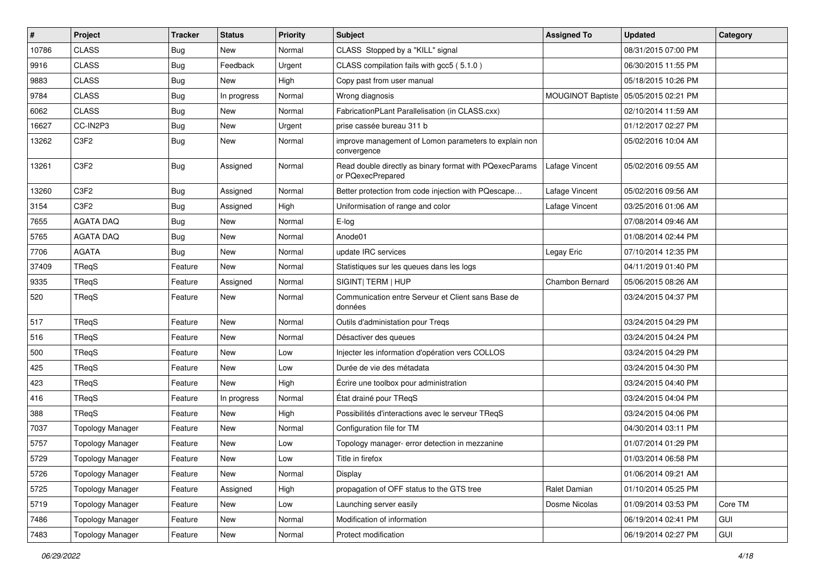| $\sharp$ | Project                 | <b>Tracker</b> | <b>Status</b> | <b>Priority</b> | <b>Subject</b>                                                               | <b>Assigned To</b>       | <b>Updated</b>      | Category   |
|----------|-------------------------|----------------|---------------|-----------------|------------------------------------------------------------------------------|--------------------------|---------------------|------------|
| 10786    | <b>CLASS</b>            | <b>Bug</b>     | New           | Normal          | CLASS Stopped by a "KILL" signal                                             |                          | 08/31/2015 07:00 PM |            |
| 9916     | <b>CLASS</b>            | Bug            | Feedback      | Urgent          | CLASS compilation fails with gcc5 (5.1.0)                                    |                          | 06/30/2015 11:55 PM |            |
| 9883     | <b>CLASS</b>            | <b>Bug</b>     | <b>New</b>    | High            | Copy past from user manual                                                   |                          | 05/18/2015 10:26 PM |            |
| 9784     | <b>CLASS</b>            | <b>Bug</b>     | In progress   | Normal          | Wrong diagnosis                                                              | <b>MOUGINOT Baptiste</b> | 05/05/2015 02:21 PM |            |
| 6062     | <b>CLASS</b>            | Bug            | New           | Normal          | FabricationPLant Parallelisation (in CLASS.cxx)                              |                          | 02/10/2014 11:59 AM |            |
| 16627    | CC-IN2P3                | <b>Bug</b>     | <b>New</b>    | Urgent          | prise cassée bureau 311 b                                                    |                          | 01/12/2017 02:27 PM |            |
| 13262    | C3F2                    | <b>Bug</b>     | New           | Normal          | improve management of Lomon parameters to explain non<br>convergence         |                          | 05/02/2016 10:04 AM |            |
| 13261    | C3F2                    | <b>Bug</b>     | Assigned      | Normal          | Read double directly as binary format with PQexecParams<br>or PQexecPrepared | Lafage Vincent           | 05/02/2016 09:55 AM |            |
| 13260    | C3F2                    | Bug            | Assigned      | Normal          | Better protection from code injection with PQescape                          | Lafage Vincent           | 05/02/2016 09:56 AM |            |
| 3154     | C3F2                    | <b>Bug</b>     | Assigned      | High            | Uniformisation of range and color                                            | Lafage Vincent           | 03/25/2016 01:06 AM |            |
| 7655     | <b>AGATA DAQ</b>        | Bug            | New           | Normal          | E-log                                                                        |                          | 07/08/2014 09:46 AM |            |
| 5765     | <b>AGATA DAQ</b>        | <b>Bug</b>     | New           | Normal          | Anode01                                                                      |                          | 01/08/2014 02:44 PM |            |
| 7706     | <b>AGATA</b>            | <b>Bug</b>     | New           | Normal          | update IRC services                                                          | Legay Eric               | 07/10/2014 12:35 PM |            |
| 37409    | TReqS                   | Feature        | New           | Normal          | Statistiques sur les queues dans les logs                                    |                          | 04/11/2019 01:40 PM |            |
| 9335     | TReqS                   | Feature        | Assigned      | Normal          | SIGINT  TERM   HUP                                                           | Chambon Bernard          | 05/06/2015 08:26 AM |            |
| 520      | TReqS                   | Feature        | New           | Normal          | Communication entre Serveur et Client sans Base de<br>données                |                          | 03/24/2015 04:37 PM |            |
| 517      | TReqS                   | Feature        | <b>New</b>    | Normal          | Outils d'administation pour Treqs                                            |                          | 03/24/2015 04:29 PM |            |
| 516      | TReqS                   | Feature        | New           | Normal          | Désactiver des queues                                                        |                          | 03/24/2015 04:24 PM |            |
| 500      | TReqS                   | Feature        | New           | Low             | Injecter les information d'opération vers COLLOS                             |                          | 03/24/2015 04:29 PM |            |
| 425      | TReqS                   | Feature        | New           | Low             | Durée de vie des métadata                                                    |                          | 03/24/2015 04:30 PM |            |
| 423      | TReqS                   | Feature        | New           | High            | Écrire une toolbox pour administration                                       |                          | 03/24/2015 04:40 PM |            |
| 416      | TReqS                   | Feature        | In progress   | Normal          | État drainé pour TReqS                                                       |                          | 03/24/2015 04:04 PM |            |
| 388      | TReaS                   | Feature        | New           | High            | Possibilités d'interactions avec le serveur TReqS                            |                          | 03/24/2015 04:06 PM |            |
| 7037     | <b>Topology Manager</b> | Feature        | New           | Normal          | Configuration file for TM                                                    |                          | 04/30/2014 03:11 PM |            |
| 5757     | <b>Topology Manager</b> | Feature        | New           | Low             | Topology manager- error detection in mezzanine                               |                          | 01/07/2014 01:29 PM |            |
| 5729     | <b>Topology Manager</b> | Feature        | New           | Low             | Title in firefox                                                             |                          | 01/03/2014 06:58 PM |            |
| 5726     | <b>Topology Manager</b> | Feature        | New           | Normal          | Display                                                                      |                          | 01/06/2014 09:21 AM |            |
| 5725     | <b>Topology Manager</b> | Feature        | Assigned      | High            | propagation of OFF status to the GTS tree                                    | Ralet Damian             | 01/10/2014 05:25 PM |            |
| 5719     | <b>Topology Manager</b> | Feature        | New           | Low             | Launching server easily                                                      | Dosme Nicolas            | 01/09/2014 03:53 PM | Core TM    |
| 7486     | <b>Topology Manager</b> | Feature        | New           | Normal          | Modification of information                                                  |                          | 06/19/2014 02:41 PM | GUI        |
| 7483     | <b>Topology Manager</b> | Feature        | New           | Normal          | Protect modification                                                         |                          | 06/19/2014 02:27 PM | <b>GUI</b> |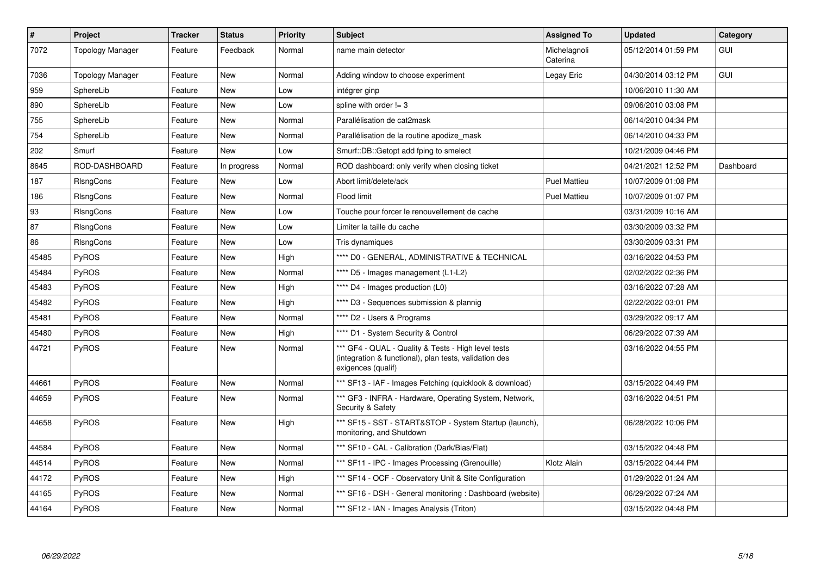| #     | <b>Project</b>   | <b>Tracker</b> | <b>Status</b> | <b>Priority</b> | <b>Subject</b>                                                                                                                      | <b>Assigned To</b>       | <b>Updated</b>      | Category   |
|-------|------------------|----------------|---------------|-----------------|-------------------------------------------------------------------------------------------------------------------------------------|--------------------------|---------------------|------------|
| 7072  | Topology Manager | Feature        | Feedback      | Normal          | name main detector                                                                                                                  | Michelagnoli<br>Caterina | 05/12/2014 01:59 PM | <b>GUI</b> |
| 7036  | Topology Manager | Feature        | New           | Normal          | Adding window to choose experiment                                                                                                  | Legay Eric               | 04/30/2014 03:12 PM | <b>GUI</b> |
| 959   | SphereLib        | Feature        | <b>New</b>    | Low             | intégrer ginp                                                                                                                       |                          | 10/06/2010 11:30 AM |            |
| 890   | SphereLib        | Feature        | New           | Low             | spline with order $!= 3$                                                                                                            |                          | 09/06/2010 03:08 PM |            |
| 755   | SphereLib        | Feature        | New           | Normal          | Parallélisation de cat2mask                                                                                                         |                          | 06/14/2010 04:34 PM |            |
| 754   | SphereLib        | Feature        | <b>New</b>    | Normal          | Parallélisation de la routine apodize mask                                                                                          |                          | 06/14/2010 04:33 PM |            |
| 202   | Smurf            | Feature        | New           | Low             | Smurf::DB::Getopt add fping to smelect                                                                                              |                          | 10/21/2009 04:46 PM |            |
| 8645  | ROD-DASHBOARD    | Feature        | In progress   | Normal          | ROD dashboard: only verify when closing ticket                                                                                      |                          | 04/21/2021 12:52 PM | Dashboard  |
| 187   | RIsngCons        | Feature        | New           | Low             | Abort limit/delete/ack                                                                                                              | <b>Puel Mattieu</b>      | 10/07/2009 01:08 PM |            |
| 186   | RIsngCons        | Feature        | <b>New</b>    | Normal          | Flood limit                                                                                                                         | <b>Puel Mattieu</b>      | 10/07/2009 01:07 PM |            |
| 93    | <b>RIsngCons</b> | Feature        | New           | Low             | Touche pour forcer le renouvellement de cache                                                                                       |                          | 03/31/2009 10:16 AM |            |
| 87    | <b>RIsngCons</b> | Feature        | New           | Low             | Limiter la taille du cache                                                                                                          |                          | 03/30/2009 03:32 PM |            |
| 86    | RIsngCons        | Feature        | New           | Low             | Tris dynamiques                                                                                                                     |                          | 03/30/2009 03:31 PM |            |
| 45485 | <b>PyROS</b>     | Feature        | New           | High            | **** D0 - GENERAL, ADMINISTRATIVE & TECHNICAL                                                                                       |                          | 03/16/2022 04:53 PM |            |
| 45484 | <b>PyROS</b>     | Feature        | New           | Normal          | **** D5 - Images management (L1-L2)                                                                                                 |                          | 02/02/2022 02:36 PM |            |
| 45483 | PyROS            | Feature        | <b>New</b>    | High            | **** D4 - Images production (L0)                                                                                                    |                          | 03/16/2022 07:28 AM |            |
| 45482 | PyROS            | Feature        | New           | High            | **** D3 - Sequences submission & plannig                                                                                            |                          | 02/22/2022 03:01 PM |            |
| 45481 | <b>PyROS</b>     | Feature        | New           | Normal          | **** D2 - Users & Programs                                                                                                          |                          | 03/29/2022 09:17 AM |            |
| 45480 | <b>PyROS</b>     | Feature        | New           | High            | **** D1 - System Security & Control                                                                                                 |                          | 06/29/2022 07:39 AM |            |
| 44721 | PyROS            | Feature        | New           | Normal          | *** GF4 - QUAL - Quality & Tests - High level tests<br>(integration & functional), plan tests, validation des<br>exigences (qualif) |                          | 03/16/2022 04:55 PM |            |
| 44661 | <b>PyROS</b>     | Feature        | New           | Normal          | *** SF13 - IAF - Images Fetching (quicklook & download)                                                                             |                          | 03/15/2022 04:49 PM |            |
| 44659 | PyROS            | Feature        | New           | Normal          | *** GF3 - INFRA - Hardware, Operating System, Network,<br>Security & Safety                                                         |                          | 03/16/2022 04:51 PM |            |
| 44658 | <b>PyROS</b>     | Feature        | New           | High            | *** SF15 - SST - START&STOP - System Startup (launch),<br>monitoring, and Shutdown                                                  |                          | 06/28/2022 10:06 PM |            |
| 44584 | <b>PyROS</b>     | Feature        | <b>New</b>    | Normal          | *** SF10 - CAL - Calibration (Dark/Bias/Flat)                                                                                       |                          | 03/15/2022 04:48 PM |            |
| 44514 | <b>PyROS</b>     | Feature        | New           | Normal          | *** SF11 - IPC - Images Processing (Grenouille)                                                                                     | Klotz Alain              | 03/15/2022 04:44 PM |            |
| 44172 | PyROS            | Feature        | New           | High            | *** SF14 - OCF - Observatory Unit & Site Configuration                                                                              |                          | 01/29/2022 01:24 AM |            |
| 44165 | <b>PyROS</b>     | Feature        | New           | Normal          | *** SF16 - DSH - General monitoring : Dashboard (website)                                                                           |                          | 06/29/2022 07:24 AM |            |
| 44164 | <b>PyROS</b>     | Feature        | New           | Normal          | *** SF12 - IAN - Images Analysis (Triton)                                                                                           |                          | 03/15/2022 04:48 PM |            |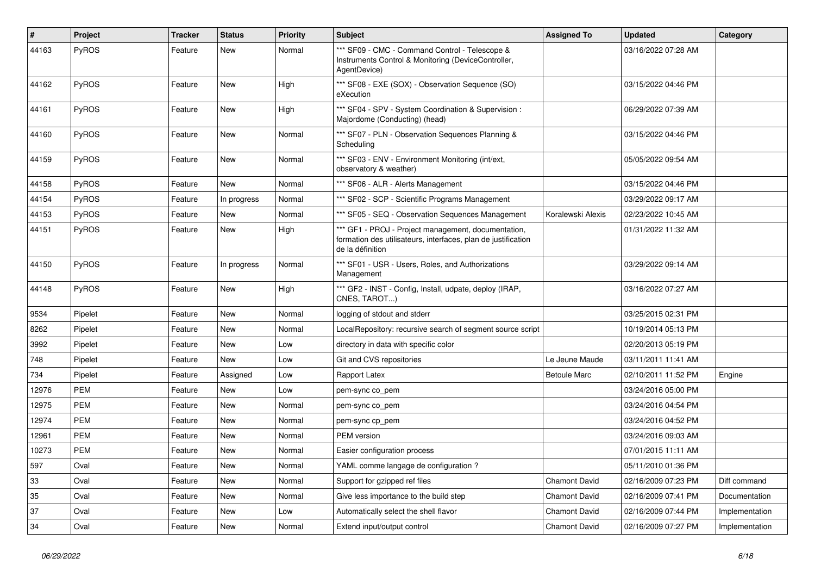| #     | Project      | <b>Tracker</b> | <b>Status</b> | <b>Priority</b> | <b>Subject</b>                                                                                                                           | <b>Assigned To</b>   | <b>Updated</b>      | Category       |
|-------|--------------|----------------|---------------|-----------------|------------------------------------------------------------------------------------------------------------------------------------------|----------------------|---------------------|----------------|
| 44163 | PyROS        | Feature        | <b>New</b>    | Normal          | *** SF09 - CMC - Command Control - Telescope &<br>Instruments Control & Monitoring (DeviceController,<br>AgentDevice)                    |                      | 03/16/2022 07:28 AM |                |
| 44162 | <b>PyROS</b> | Feature        | New           | High            | *** SF08 - EXE (SOX) - Observation Sequence (SO)<br>eXecution                                                                            |                      | 03/15/2022 04:46 PM |                |
| 44161 | PyROS        | Feature        | New           | High            | *** SF04 - SPV - System Coordination & Supervision :<br>Majordome (Conducting) (head)                                                    |                      | 06/29/2022 07:39 AM |                |
| 44160 | PyROS        | Feature        | New           | Normal          | *** SF07 - PLN - Observation Sequences Planning &<br>Scheduling                                                                          |                      | 03/15/2022 04:46 PM |                |
| 44159 | <b>PyROS</b> | Feature        | New           | Normal          | *** SF03 - ENV - Environment Monitoring (int/ext,<br>observatory & weather)                                                              |                      | 05/05/2022 09:54 AM |                |
| 44158 | PyROS        | Feature        | New           | Normal          | *** SF06 - ALR - Alerts Management                                                                                                       |                      | 03/15/2022 04:46 PM |                |
| 44154 | PyROS        | Feature        | In progress   | Normal          | *** SF02 - SCP - Scientific Programs Management                                                                                          |                      | 03/29/2022 09:17 AM |                |
| 44153 | PyROS        | Feature        | New           | Normal          | *** SF05 - SEQ - Observation Sequences Management                                                                                        | Koralewski Alexis    | 02/23/2022 10:45 AM |                |
| 44151 | <b>PyROS</b> | Feature        | New           | High            | *** GF1 - PROJ - Project management, documentation,<br>formation des utilisateurs, interfaces, plan de justification<br>de la définition |                      | 01/31/2022 11:32 AM |                |
| 44150 | PyROS        | Feature        | In progress   | Normal          | *** SF01 - USR - Users, Roles, and Authorizations<br>Management                                                                          |                      | 03/29/2022 09:14 AM |                |
| 44148 | PyROS        | Feature        | New           | High            | *** GF2 - INST - Config, Install, udpate, deploy (IRAP,<br>CNES, TAROT)                                                                  |                      | 03/16/2022 07:27 AM |                |
| 9534  | Pipelet      | Feature        | <b>New</b>    | Normal          | logging of stdout and stderr                                                                                                             |                      | 03/25/2015 02:31 PM |                |
| 8262  | Pipelet      | Feature        | New           | Normal          | LocalRepository: recursive search of segment source script                                                                               |                      | 10/19/2014 05:13 PM |                |
| 3992  | Pipelet      | Feature        | <b>New</b>    | Low             | directory in data with specific color                                                                                                    |                      | 02/20/2013 05:19 PM |                |
| 748   | Pipelet      | Feature        | <b>New</b>    | Low             | Git and CVS repositories                                                                                                                 | Le Jeune Maude       | 03/11/2011 11:41 AM |                |
| 734   | Pipelet      | Feature        | Assigned      | Low             | Rapport Latex                                                                                                                            | <b>Betoule Marc</b>  | 02/10/2011 11:52 PM | Engine         |
| 12976 | <b>PEM</b>   | Feature        | New           | Low             | pem-sync co pem                                                                                                                          |                      | 03/24/2016 05:00 PM |                |
| 12975 | <b>PEM</b>   | Feature        | New           | Normal          | pem-sync co_pem                                                                                                                          |                      | 03/24/2016 04:54 PM |                |
| 12974 | <b>PEM</b>   | Feature        | New           | Normal          | pem-sync cp_pem                                                                                                                          |                      | 03/24/2016 04:52 PM |                |
| 12961 | PEM          | Feature        | New           | Normal          | PEM version                                                                                                                              |                      | 03/24/2016 09:03 AM |                |
| 10273 | <b>PEM</b>   | Feature        | <b>New</b>    | Normal          | Easier configuration process                                                                                                             |                      | 07/01/2015 11:11 AM |                |
| 597   | Oval         | Feature        | <b>New</b>    | Normal          | YAML comme langage de configuration?                                                                                                     |                      | 05/11/2010 01:36 PM |                |
| 33    | Oval         | Feature        | New           | Normal          | Support for gzipped ref files                                                                                                            | <b>Chamont David</b> | 02/16/2009 07:23 PM | Diff command   |
| 35    | Oval         | Feature        | <b>New</b>    | Normal          | Give less importance to the build step                                                                                                   | <b>Chamont David</b> | 02/16/2009 07:41 PM | Documentation  |
| 37    | Oval         | Feature        | <b>New</b>    | Low             | Automatically select the shell flavor                                                                                                    | <b>Chamont David</b> | 02/16/2009 07:44 PM | Implementation |
| 34    | Oval         | Feature        | New           | Normal          | Extend input/output control                                                                                                              | Chamont David        | 02/16/2009 07:27 PM | Implementation |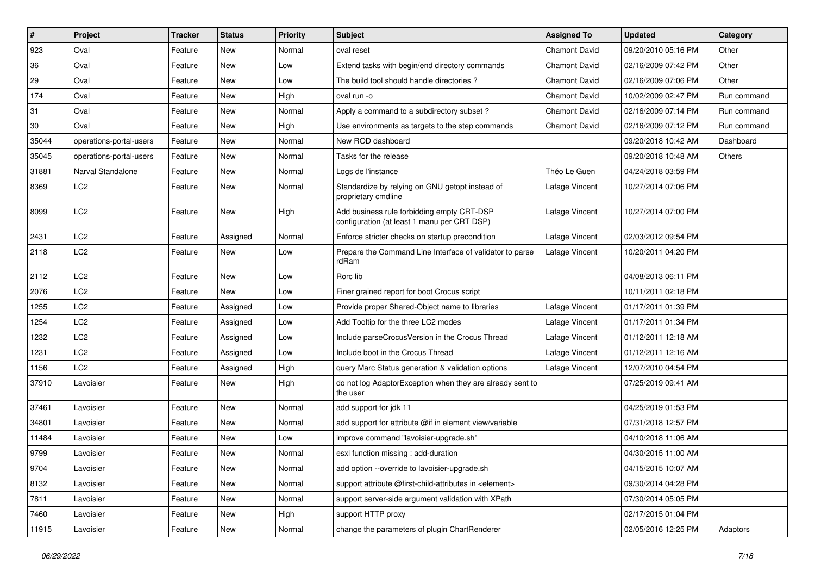| $\sharp$ | Project                 | <b>Tracker</b> | <b>Status</b> | <b>Priority</b> | Subject                                                                                   | <b>Assigned To</b>   | <b>Updated</b>      | Category    |
|----------|-------------------------|----------------|---------------|-----------------|-------------------------------------------------------------------------------------------|----------------------|---------------------|-------------|
| 923      | Oval                    | Feature        | New           | Normal          | oval reset                                                                                | <b>Chamont David</b> | 09/20/2010 05:16 PM | Other       |
| 36       | Oval                    | Feature        | <b>New</b>    | Low             | Extend tasks with begin/end directory commands                                            | <b>Chamont David</b> | 02/16/2009 07:42 PM | Other       |
| 29       | Oval                    | Feature        | <b>New</b>    | Low             | The build tool should handle directories?                                                 | <b>Chamont David</b> | 02/16/2009 07:06 PM | Other       |
| 174      | Oval                    | Feature        | New           | High            | oval run -o                                                                               | <b>Chamont David</b> | 10/02/2009 02:47 PM | Run command |
| 31       | Oval                    | Feature        | New           | Normal          | Apply a command to a subdirectory subset?                                                 | <b>Chamont David</b> | 02/16/2009 07:14 PM | Run command |
| 30       | Oval                    | Feature        | New           | High            | Use environments as targets to the step commands                                          | <b>Chamont David</b> | 02/16/2009 07:12 PM | Run command |
| 35044    | operations-portal-users | Feature        | New           | Normal          | New ROD dashboard                                                                         |                      | 09/20/2018 10:42 AM | Dashboard   |
| 35045    | operations-portal-users | Feature        | New           | Normal          | Tasks for the release                                                                     |                      | 09/20/2018 10:48 AM | Others      |
| 31881    | Narval Standalone       | Feature        | New           | Normal          | Logs de l'instance                                                                        | Théo Le Guen         | 04/24/2018 03:59 PM |             |
| 8369     | LC <sub>2</sub>         | Feature        | New           | Normal          | Standardize by relying on GNU getopt instead of<br>proprietary cmdline                    | Lafage Vincent       | 10/27/2014 07:06 PM |             |
| 8099     | LC <sub>2</sub>         | Feature        | New           | High            | Add business rule forbidding empty CRT-DSP<br>configuration (at least 1 manu per CRT DSP) | Lafage Vincent       | 10/27/2014 07:00 PM |             |
| 2431     | LC <sub>2</sub>         | Feature        | Assigned      | Normal          | Enforce stricter checks on startup precondition                                           | Lafage Vincent       | 02/03/2012 09:54 PM |             |
| 2118     | LC <sub>2</sub>         | Feature        | New           | Low             | Prepare the Command Line Interface of validator to parse<br>rdRam                         | Lafage Vincent       | 10/20/2011 04:20 PM |             |
| 2112     | LC <sub>2</sub>         | Feature        | New           | Low             | Rorc lib                                                                                  |                      | 04/08/2013 06:11 PM |             |
| 2076     | LC <sub>2</sub>         | Feature        | New           | Low             | Finer grained report for boot Crocus script                                               |                      | 10/11/2011 02:18 PM |             |
| 1255     | LC <sub>2</sub>         | Feature        | Assigned      | Low             | Provide proper Shared-Object name to libraries                                            | Lafage Vincent       | 01/17/2011 01:39 PM |             |
| 1254     | LC <sub>2</sub>         | Feature        | Assigned      | Low             | Add Tooltip for the three LC2 modes                                                       | Lafage Vincent       | 01/17/2011 01:34 PM |             |
| 1232     | LC <sub>2</sub>         | Feature        | Assigned      | Low             | Include parseCrocusVersion in the Crocus Thread                                           | Lafage Vincent       | 01/12/2011 12:18 AM |             |
| 1231     | LC <sub>2</sub>         | Feature        | Assigned      | Low             | Include boot in the Crocus Thread                                                         | Lafage Vincent       | 01/12/2011 12:16 AM |             |
| 1156     | LC <sub>2</sub>         | Feature        | Assigned      | High            | query Marc Status generation & validation options                                         | Lafage Vincent       | 12/07/2010 04:54 PM |             |
| 37910    | Lavoisier               | Feature        | New           | High            | do not log AdaptorException when they are already sent to<br>the user                     |                      | 07/25/2019 09:41 AM |             |
| 37461    | Lavoisier               | Feature        | <b>New</b>    | Normal          | add support for jdk 11                                                                    |                      | 04/25/2019 01:53 PM |             |
| 34801    | Lavoisier               | Feature        | New           | Normal          | add support for attribute @if in element view/variable                                    |                      | 07/31/2018 12:57 PM |             |
| 11484    | Lavoisier               | Feature        | New           | Low             | improve command "lavoisier-upgrade.sh"                                                    |                      | 04/10/2018 11:06 AM |             |
| 9799     | Lavoisier               | Feature        | New           | Normal          | esxl function missing : add-duration                                                      |                      | 04/30/2015 11:00 AM |             |
| 9704     | Lavoisier               | Feature        | New           | Normal          | add option --override to lavoisier-upgrade.sh                                             |                      | 04/15/2015 10:07 AM |             |
| 8132     | Lavoisier               | Feature        | New           | Normal          | support attribute @first-child-attributes in <element></element>                          |                      | 09/30/2014 04:28 PM |             |
| 7811     | Lavoisier               | Feature        | New           | Normal          | support server-side argument validation with XPath                                        |                      | 07/30/2014 05:05 PM |             |
| 7460     | Lavoisier               | Feature        | New           | High            | support HTTP proxy                                                                        |                      | 02/17/2015 01:04 PM |             |
| 11915    | Lavoisier               | Feature        | New           | Normal          | change the parameters of plugin ChartRenderer                                             |                      | 02/05/2016 12:25 PM | Adaptors    |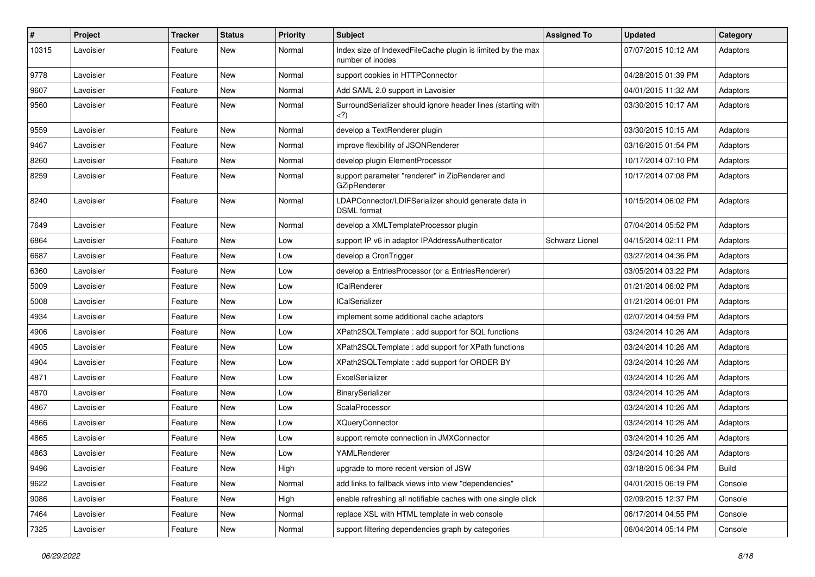| $\pmb{\#}$ | Project   | <b>Tracker</b> | <b>Status</b> | <b>Priority</b> | <b>Subject</b>                                                                  | <b>Assigned To</b> | <b>Updated</b>      | Category     |
|------------|-----------|----------------|---------------|-----------------|---------------------------------------------------------------------------------|--------------------|---------------------|--------------|
| 10315      | Lavoisier | Feature        | New           | Normal          | Index size of IndexedFileCache plugin is limited by the max<br>number of inodes |                    | 07/07/2015 10:12 AM | Adaptors     |
| 9778       | Lavoisier | Feature        | New           | Normal          | support cookies in HTTPConnector                                                |                    | 04/28/2015 01:39 PM | Adaptors     |
| 9607       | Lavoisier | Feature        | New           | Normal          | Add SAML 2.0 support in Lavoisier                                               |                    | 04/01/2015 11:32 AM | Adaptors     |
| 9560       | Lavoisier | Feature        | New           | Normal          | SurroundSerializer should ignore header lines (starting with<br>$<$ ?)          |                    | 03/30/2015 10:17 AM | Adaptors     |
| 9559       | Lavoisier | Feature        | New           | Normal          | develop a TextRenderer plugin                                                   |                    | 03/30/2015 10:15 AM | Adaptors     |
| 9467       | Lavoisier | Feature        | New           | Normal          | improve flexibility of JSONRenderer                                             |                    | 03/16/2015 01:54 PM | Adaptors     |
| 8260       | Lavoisier | Feature        | New           | Normal          | develop plugin ElementProcessor                                                 |                    | 10/17/2014 07:10 PM | Adaptors     |
| 8259       | Lavoisier | Feature        | New           | Normal          | support parameter "renderer" in ZipRenderer and<br>GZipRenderer                 |                    | 10/17/2014 07:08 PM | Adaptors     |
| 8240       | Lavoisier | Feature        | New           | Normal          | LDAPConnector/LDIFSerializer should generate data in<br><b>DSML</b> format      |                    | 10/15/2014 06:02 PM | Adaptors     |
| 7649       | Lavoisier | Feature        | New           | Normal          | develop a XMLTemplateProcessor plugin                                           |                    | 07/04/2014 05:52 PM | Adaptors     |
| 6864       | Lavoisier | Feature        | <b>New</b>    | Low             | support IP v6 in adaptor IPAddressAuthenticator                                 | Schwarz Lionel     | 04/15/2014 02:11 PM | Adaptors     |
| 6687       | Lavoisier | Feature        | New           | Low             | develop a CronTrigger                                                           |                    | 03/27/2014 04:36 PM | Adaptors     |
| 6360       | Lavoisier | Feature        | New           | Low             | develop a EntriesProcessor (or a EntriesRenderer)                               |                    | 03/05/2014 03:22 PM | Adaptors     |
| 5009       | Lavoisier | Feature        | New           | Low             | <b>ICalRenderer</b>                                                             |                    | 01/21/2014 06:02 PM | Adaptors     |
| 5008       | Lavoisier | Feature        | New           | Low             | <b>ICalSerializer</b>                                                           |                    | 01/21/2014 06:01 PM | Adaptors     |
| 4934       | Lavoisier | Feature        | New           | Low             | implement some additional cache adaptors                                        |                    | 02/07/2014 04:59 PM | Adaptors     |
| 4906       | Lavoisier | Feature        | New           | Low             | XPath2SQLTemplate: add support for SQL functions                                |                    | 03/24/2014 10:26 AM | Adaptors     |
| 4905       | Lavoisier | Feature        | New           | Low             | XPath2SQLTemplate : add support for XPath functions                             |                    | 03/24/2014 10:26 AM | Adaptors     |
| 4904       | Lavoisier | Feature        | New           | Low             | XPath2SQLTemplate: add support for ORDER BY                                     |                    | 03/24/2014 10:26 AM | Adaptors     |
| 4871       | Lavoisier | Feature        | New           | Low             | ExcelSerializer                                                                 |                    | 03/24/2014 10:26 AM | Adaptors     |
| 4870       | Lavoisier | Feature        | New           | Low             | <b>BinarySerializer</b>                                                         |                    | 03/24/2014 10:26 AM | Adaptors     |
| 4867       | Lavoisier | Feature        | New           | Low             | ScalaProcessor                                                                  |                    | 03/24/2014 10:26 AM | Adaptors     |
| 4866       | Lavoisier | Feature        | New           | Low             | <b>XQueryConnector</b>                                                          |                    | 03/24/2014 10:26 AM | Adaptors     |
| 4865       | Lavoisier | Feature        | New           | Low             | support remote connection in JMXConnector                                       |                    | 03/24/2014 10:26 AM | Adaptors     |
| 4863       | Lavoisier | Feature        | New           | Low             | YAMLRenderer                                                                    |                    | 03/24/2014 10:26 AM | Adaptors     |
| 9496       | Lavoisier | Feature        | New           | High            | upgrade to more recent version of JSW                                           |                    | 03/18/2015 06:34 PM | <b>Build</b> |
| 9622       | Lavoisier | Feature        | New           | Normal          | add links to fallback views into view "dependencies"                            |                    | 04/01/2015 06:19 PM | Console      |
| 9086       | Lavoisier | Feature        | New           | High            | enable refreshing all notifiable caches with one single click                   |                    | 02/09/2015 12:37 PM | Console      |
| 7464       | Lavoisier | Feature        | New           | Normal          | replace XSL with HTML template in web console                                   |                    | 06/17/2014 04:55 PM | Console      |
| 7325       | Lavoisier | Feature        | New           | Normal          | support filtering dependencies graph by categories                              |                    | 06/04/2014 05:14 PM | Console      |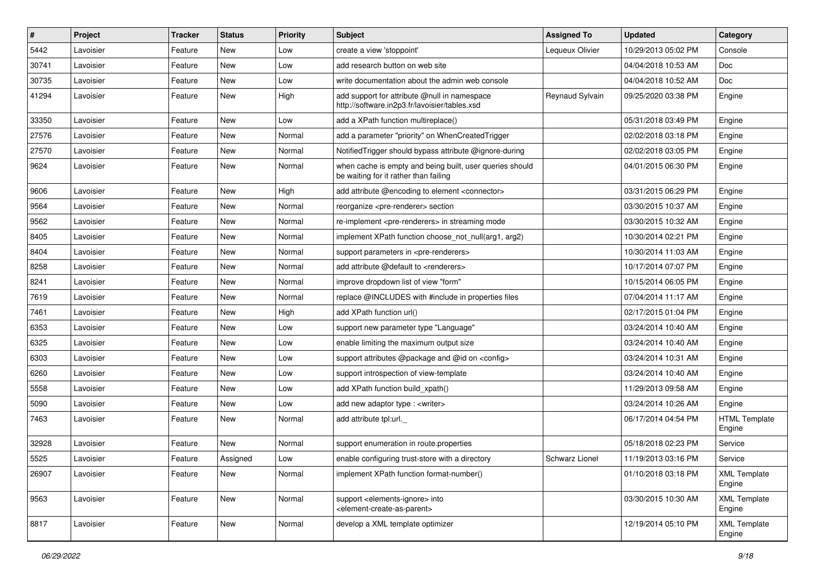| $\pmb{\#}$ | Project   | <b>Tracker</b> | <b>Status</b> | <b>Priority</b> | <b>Subject</b>                                                                                             | <b>Assigned To</b>    | <b>Updated</b>      | Category                       |
|------------|-----------|----------------|---------------|-----------------|------------------------------------------------------------------------------------------------------------|-----------------------|---------------------|--------------------------------|
| 5442       | Lavoisier | Feature        | New           | Low             | create a view 'stoppoint'                                                                                  | Lequeux Olivier       | 10/29/2013 05:02 PM | Console                        |
| 30741      | Lavoisier | Feature        | <b>New</b>    | Low             | add research button on web site                                                                            |                       | 04/04/2018 10:53 AM | Doc                            |
| 30735      | Lavoisier | Feature        | New           | Low             | write documentation about the admin web console                                                            |                       | 04/04/2018 10:52 AM | Doc                            |
| 41294      | Lavoisier | Feature        | New           | High            | add support for attribute @null in namespace<br>http://software.in2p3.fr/lavoisier/tables.xsd              | Reynaud Sylvain       | 09/25/2020 03:38 PM | Engine                         |
| 33350      | Lavoisier | Feature        | <b>New</b>    | Low             | add a XPath function multireplace()                                                                        |                       | 05/31/2018 03:49 PM | Engine                         |
| 27576      | Lavoisier | Feature        | New           | Normal          | add a parameter "priority" on WhenCreatedTrigger                                                           |                       | 02/02/2018 03:18 PM | Engine                         |
| 27570      | Lavoisier | Feature        | New           | Normal          | Notified Trigger should bypass attribute @ignore-during                                                    |                       | 02/02/2018 03:05 PM | Engine                         |
| 9624       | Lavoisier | Feature        | New           | Normal          | when cache is empty and being built, user queries should<br>be waiting for it rather than failing          |                       | 04/01/2015 06:30 PM | Engine                         |
| 9606       | Lavoisier | Feature        | <b>New</b>    | High            | add attribute @encoding to element <connector></connector>                                                 |                       | 03/31/2015 06:29 PM | Engine                         |
| 9564       | Lavoisier | Feature        | New           | Normal          | reorganize <pre-renderer> section</pre-renderer>                                                           |                       | 03/30/2015 10:37 AM | Engine                         |
| 9562       | Lavoisier | Feature        | New           | Normal          | re-implement <pre-renderers> in streaming mode</pre-renderers>                                             |                       | 03/30/2015 10:32 AM | Engine                         |
| 8405       | Lavoisier | Feature        | New           | Normal          | implement XPath function choose not null(arg1, arg2)                                                       |                       | 10/30/2014 02:21 PM | Engine                         |
| 8404       | Lavoisier | Feature        | New           | Normal          | support parameters in <pre-renderers></pre-renderers>                                                      |                       | 10/30/2014 11:03 AM | Engine                         |
| 8258       | Lavoisier | Feature        | New           | Normal          | add attribute @default to <renderers></renderers>                                                          |                       | 10/17/2014 07:07 PM | Engine                         |
| 8241       | Lavoisier | Feature        | New           | Normal          | improve dropdown list of view "form"                                                                       |                       | 10/15/2014 06:05 PM | Engine                         |
| 7619       | Lavoisier | Feature        | <b>New</b>    | Normal          | replace @INCLUDES with #include in properties files                                                        |                       | 07/04/2014 11:17 AM | Engine                         |
| 7461       | Lavoisier | Feature        | New           | High            | add XPath function url()                                                                                   |                       | 02/17/2015 01:04 PM | Engine                         |
| 6353       | Lavoisier | Feature        | <b>New</b>    | Low             | support new parameter type "Language"                                                                      |                       | 03/24/2014 10:40 AM | Engine                         |
| 6325       | Lavoisier | Feature        | New           | Low             | enable limiting the maximum output size                                                                    |                       | 03/24/2014 10:40 AM | Engine                         |
| 6303       | Lavoisier | Feature        | New           | Low             | support attributes @package and @id on <config></config>                                                   |                       | 03/24/2014 10:31 AM | Engine                         |
| 6260       | Lavoisier | Feature        | New           | Low             | support introspection of view-template                                                                     |                       | 03/24/2014 10:40 AM | Engine                         |
| 5558       | Lavoisier | Feature        | New           | Low             | add XPath function build xpath()                                                                           |                       | 11/29/2013 09:58 AM | Engine                         |
| 5090       | Lavoisier | Feature        | New           | Low             | add new adaptor type : <writer></writer>                                                                   |                       | 03/24/2014 10:26 AM | Engine                         |
| 7463       | Lavoisier | Feature        | New           | Normal          | add attribute tpl:url.                                                                                     |                       | 06/17/2014 04:54 PM | <b>HTML</b> Template<br>Engine |
| 32928      | Lavoisier | Feature        | <b>New</b>    | Normal          | support enumeration in route properties                                                                    |                       | 05/18/2018 02:23 PM | Service                        |
| 5525       | Lavoisier | Feature        | Assigned      | Low             | enable configuring trust-store with a directory                                                            | <b>Schwarz Lionel</b> | 11/19/2013 03:16 PM | Service                        |
| 26907      | Lavoisier | Feature        | New           | Normal          | implement XPath function format-number()                                                                   |                       | 01/10/2018 03:18 PM | <b>XML Template</b><br>Engine  |
| 9563       | Lavoisier | Feature        | New           | Normal          | support <elements-ignore> into<br/><element-create-as-parent></element-create-as-parent></elements-ignore> |                       | 03/30/2015 10:30 AM | <b>XML Template</b><br>Engine  |
| 8817       | Lavoisier | Feature        | New           | Normal          | develop a XML template optimizer                                                                           |                       | 12/19/2014 05:10 PM | <b>XML Template</b><br>Engine  |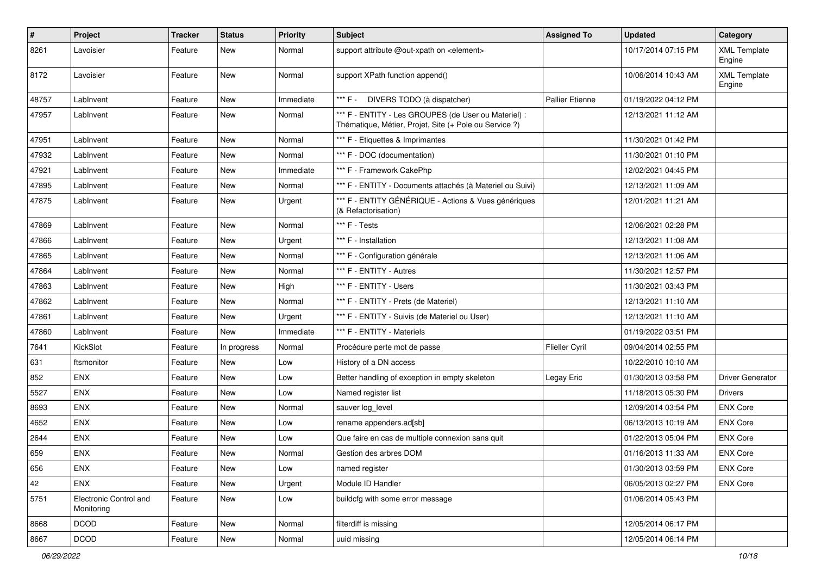| #     | Project                              | <b>Tracker</b> | <b>Status</b> | <b>Priority</b> | <b>Subject</b>                                                                                                 | <b>Assigned To</b>     | <b>Updated</b>      | Category                      |
|-------|--------------------------------------|----------------|---------------|-----------------|----------------------------------------------------------------------------------------------------------------|------------------------|---------------------|-------------------------------|
| 8261  | Lavoisier                            | Feature        | New           | Normal          | support attribute @out-xpath on <element></element>                                                            |                        | 10/17/2014 07:15 PM | <b>XML Template</b><br>Engine |
| 8172  | Lavoisier                            | Feature        | New           | Normal          | support XPath function append()                                                                                |                        | 10/06/2014 10:43 AM | <b>XML Template</b><br>Engine |
| 48757 | LabInvent                            | Feature        | New           | Immediate       | *** F - DIVERS TODO (à dispatcher)                                                                             | <b>Pallier Etienne</b> | 01/19/2022 04:12 PM |                               |
| 47957 | LabInvent                            | Feature        | New           | Normal          | *** F - ENTITY - Les GROUPES (de User ou Materiel) :<br>Thématique, Métier, Projet, Site (+ Pole ou Service ?) |                        | 12/13/2021 11:12 AM |                               |
| 47951 | LabInvent                            | Feature        | New           | Normal          | *** F - Etiquettes & Imprimantes                                                                               |                        | 11/30/2021 01:42 PM |                               |
| 47932 | LabInvent                            | Feature        | New           | Normal          | *** F - DOC (documentation)                                                                                    |                        | 11/30/2021 01:10 PM |                               |
| 47921 | LabInvent                            | Feature        | New           | Immediate       | *** F - Framework CakePhp                                                                                      |                        | 12/02/2021 04:45 PM |                               |
| 47895 | LabInvent                            | Feature        | New           | Normal          | *** F - ENTITY - Documents attachés (à Materiel ou Suivi)                                                      |                        | 12/13/2021 11:09 AM |                               |
| 47875 | LabInvent                            | Feature        | New           | Urgent          | *** F - ENTITY GÉNÉRIQUE - Actions & Vues génériques<br>(& Refactorisation)                                    |                        | 12/01/2021 11:21 AM |                               |
| 47869 | LabInvent                            | Feature        | New           | Normal          | *** F - Tests                                                                                                  |                        | 12/06/2021 02:28 PM |                               |
| 47866 | LabInvent                            | Feature        | New           | Urgent          | *** F - Installation                                                                                           |                        | 12/13/2021 11:08 AM |                               |
| 47865 | LabInvent                            | Feature        | New           | Normal          | *** F - Configuration générale                                                                                 |                        | 12/13/2021 11:06 AM |                               |
| 47864 | LabInvent                            | Feature        | New           | Normal          | *** F - ENTITY - Autres                                                                                        |                        | 11/30/2021 12:57 PM |                               |
| 47863 | LabInvent                            | Feature        | New           | High            | *** F - ENTITY - Users                                                                                         |                        | 11/30/2021 03:43 PM |                               |
| 47862 | LabInvent                            | Feature        | New           | Normal          | *** F - ENTITY - Prets (de Materiel)                                                                           |                        | 12/13/2021 11:10 AM |                               |
| 47861 | LabInvent                            | Feature        | New           | Urgent          | *** F - ENTITY - Suivis (de Materiel ou User)                                                                  |                        | 12/13/2021 11:10 AM |                               |
| 47860 | LabInvent                            | Feature        | New           | Immediate       | *** F - ENTITY - Materiels                                                                                     |                        | 01/19/2022 03:51 PM |                               |
| 7641  | KickSlot                             | Feature        | In progress   | Normal          | Procédure perte mot de passe                                                                                   | <b>Flieller Cyril</b>  | 09/04/2014 02:55 PM |                               |
| 631   | ftsmonitor                           | Feature        | <b>New</b>    | Low             | History of a DN access                                                                                         |                        | 10/22/2010 10:10 AM |                               |
| 852   | <b>ENX</b>                           | Feature        | New           | Low             | Better handling of exception in empty skeleton                                                                 | Legay Eric             | 01/30/2013 03:58 PM | Driver Generator              |
| 5527  | <b>ENX</b>                           | Feature        | New           | Low             | Named register list                                                                                            |                        | 11/18/2013 05:30 PM | Drivers                       |
| 8693  | <b>ENX</b>                           | Feature        | New           | Normal          | sauver log_level                                                                                               |                        | 12/09/2014 03:54 PM | <b>ENX Core</b>               |
| 4652  | <b>ENX</b>                           | Feature        | New           | Low             | rename appenders.ad[sb]                                                                                        |                        | 06/13/2013 10:19 AM | <b>ENX Core</b>               |
| 2644  | <b>ENX</b>                           | Feature        | New           | Low             | Que faire en cas de multiple connexion sans quit                                                               |                        | 01/22/2013 05:04 PM | <b>ENX Core</b>               |
| 659   | ENX                                  | Feature        | New           | Normal          | Gestion des arbres DOM                                                                                         |                        | 01/16/2013 11:33 AM | <b>ENX Core</b>               |
| 656   | ENX                                  | Feature        | New           | Low             | named register                                                                                                 |                        | 01/30/2013 03:59 PM | <b>ENX Core</b>               |
| 42    | <b>ENX</b>                           | Feature        | New           | Urgent          | Module ID Handler                                                                                              |                        | 06/05/2013 02:27 PM | <b>ENX Core</b>               |
| 5751  | Electronic Control and<br>Monitoring | Feature        | New           | Low             | buildcfg with some error message                                                                               |                        | 01/06/2014 05:43 PM |                               |
| 8668  | <b>DCOD</b>                          | Feature        | New           | Normal          | filterdiff is missing                                                                                          |                        | 12/05/2014 06:17 PM |                               |
| 8667  | <b>DCOD</b>                          | Feature        | New           | Normal          | uuid missing                                                                                                   |                        | 12/05/2014 06:14 PM |                               |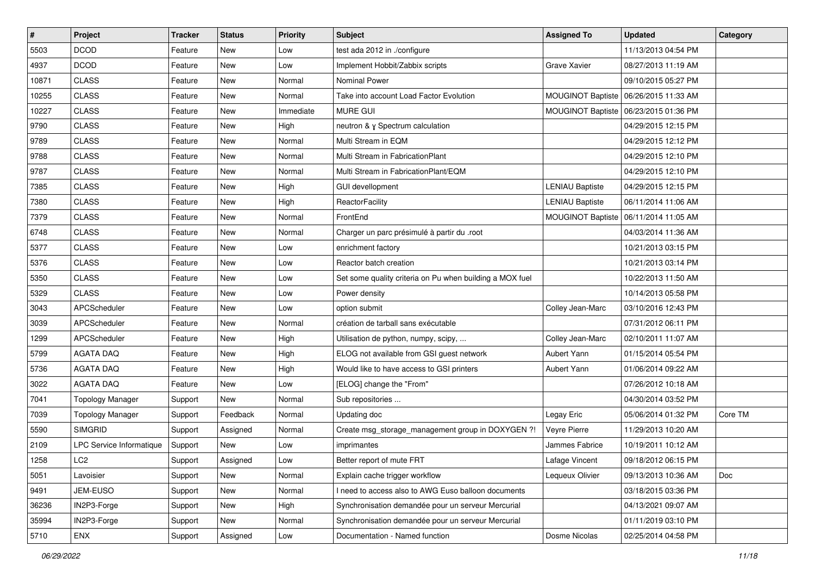| $\vert$ # | Project                         | <b>Tracker</b> | <b>Status</b> | <b>Priority</b> | Subject                                                  | <b>Assigned To</b>       | Updated             | Category |
|-----------|---------------------------------|----------------|---------------|-----------------|----------------------------------------------------------|--------------------------|---------------------|----------|
| 5503      | <b>DCOD</b>                     | Feature        | New           | Low             | test ada 2012 in ./configure                             |                          | 11/13/2013 04:54 PM |          |
| 4937      | <b>DCOD</b>                     | Feature        | New           | Low             | Implement Hobbit/Zabbix scripts                          | Grave Xavier             | 08/27/2013 11:19 AM |          |
| 10871     | <b>CLASS</b>                    | Feature        | New           | Normal          | <b>Nominal Power</b>                                     |                          | 09/10/2015 05:27 PM |          |
| 10255     | <b>CLASS</b>                    | Feature        | New           | Normal          | Take into account Load Factor Evolution                  | <b>MOUGINOT Baptiste</b> | 06/26/2015 11:33 AM |          |
| 10227     | <b>CLASS</b>                    | Feature        | New           | Immediate       | <b>MURE GUI</b>                                          | <b>MOUGINOT Baptiste</b> | 06/23/2015 01:36 PM |          |
| 9790      | <b>CLASS</b>                    | Feature        | New           | High            | neutron & y Spectrum calculation                         |                          | 04/29/2015 12:15 PM |          |
| 9789      | <b>CLASS</b>                    | Feature        | <b>New</b>    | Normal          | Multi Stream in EQM                                      |                          | 04/29/2015 12:12 PM |          |
| 9788      | <b>CLASS</b>                    | Feature        | New           | Normal          | Multi Stream in FabricationPlant                         |                          | 04/29/2015 12:10 PM |          |
| 9787      | <b>CLASS</b>                    | Feature        | New           | Normal          | Multi Stream in FabricationPlant/EQM                     |                          | 04/29/2015 12:10 PM |          |
| 7385      | <b>CLASS</b>                    | Feature        | New           | High            | <b>GUI devellopment</b>                                  | <b>LENIAU Baptiste</b>   | 04/29/2015 12:15 PM |          |
| 7380      | <b>CLASS</b>                    | Feature        | New           | High            | ReactorFacility                                          | <b>LENIAU Baptiste</b>   | 06/11/2014 11:06 AM |          |
| 7379      | <b>CLASS</b>                    | Feature        | New           | Normal          | FrontEnd                                                 | <b>MOUGINOT Baptiste</b> | 06/11/2014 11:05 AM |          |
| 6748      | <b>CLASS</b>                    | Feature        | New           | Normal          | Charger un parc présimulé à partir du .root              |                          | 04/03/2014 11:36 AM |          |
| 5377      | <b>CLASS</b>                    | Feature        | New           | Low             | enrichment factory                                       |                          | 10/21/2013 03:15 PM |          |
| 5376      | <b>CLASS</b>                    | Feature        | New           | Low             | Reactor batch creation                                   |                          | 10/21/2013 03:14 PM |          |
| 5350      | <b>CLASS</b>                    | Feature        | New           | Low             | Set some quality criteria on Pu when building a MOX fuel |                          | 10/22/2013 11:50 AM |          |
| 5329      | <b>CLASS</b>                    | Feature        | New           | Low             | Power density                                            |                          | 10/14/2013 05:58 PM |          |
| 3043      | APCScheduler                    | Feature        | New           | Low             | option submit                                            | Colley Jean-Marc         | 03/10/2016 12:43 PM |          |
| 3039      | APCScheduler                    | Feature        | New           | Normal          | création de tarball sans exécutable                      |                          | 07/31/2012 06:11 PM |          |
| 1299      | APCScheduler                    | Feature        | New           | High            | Utilisation de python, numpy, scipy,                     | Colley Jean-Marc         | 02/10/2011 11:07 AM |          |
| 5799      | <b>AGATA DAQ</b>                | Feature        | New           | High            | ELOG not available from GSI guest network                | Aubert Yann              | 01/15/2014 05:54 PM |          |
| 5736      | <b>AGATA DAQ</b>                | Feature        | New           | High            | Would like to have access to GSI printers                | Aubert Yann              | 01/06/2014 09:22 AM |          |
| 3022      | <b>AGATA DAQ</b>                | Feature        | New           | Low             | [ELOG] change the "From"                                 |                          | 07/26/2012 10:18 AM |          |
| 7041      | <b>Topology Manager</b>         | Support        | New           | Normal          | Sub repositories                                         |                          | 04/30/2014 03:52 PM |          |
| 7039      | <b>Topology Manager</b>         | Support        | Feedback      | Normal          | Updating doc                                             | Legay Eric               | 05/06/2014 01:32 PM | Core TM  |
| 5590      | <b>SIMGRID</b>                  | Support        | Assigned      | Normal          | Create msg_storage_management group in DOXYGEN ?!        | Veyre Pierre             | 11/29/2013 10:20 AM |          |
| 2109      | <b>LPC Service Informatique</b> | Support        | New           | Low             | imprimantes                                              | Jammes Fabrice           | 10/19/2011 10:12 AM |          |
| 1258      | LC <sub>2</sub>                 | Support        | Assigned      | Low             | Better report of mute FRT                                | Lafage Vincent           | 09/18/2012 06:15 PM |          |
| 5051      | Lavoisier                       | Support        | New           | Normal          | Explain cache trigger workflow                           | Lequeux Olivier          | 09/13/2013 10:36 AM | Doc      |
| 9491      | JEM-EUSO                        | Support        | New           | Normal          | I need to access also to AWG Euso balloon documents      |                          | 03/18/2015 03:36 PM |          |
| 36236     | IN2P3-Forge                     | Support        | New           | High            | Synchronisation demandée pour un serveur Mercurial       |                          | 04/13/2021 09:07 AM |          |
| 35994     | IN2P3-Forge                     | Support        | New           | Normal          | Synchronisation demandée pour un serveur Mercurial       |                          | 01/11/2019 03:10 PM |          |
| 5710      | ENX                             | Support        | Assigned      | Low             | Documentation - Named function                           | Dosme Nicolas            | 02/25/2014 04:58 PM |          |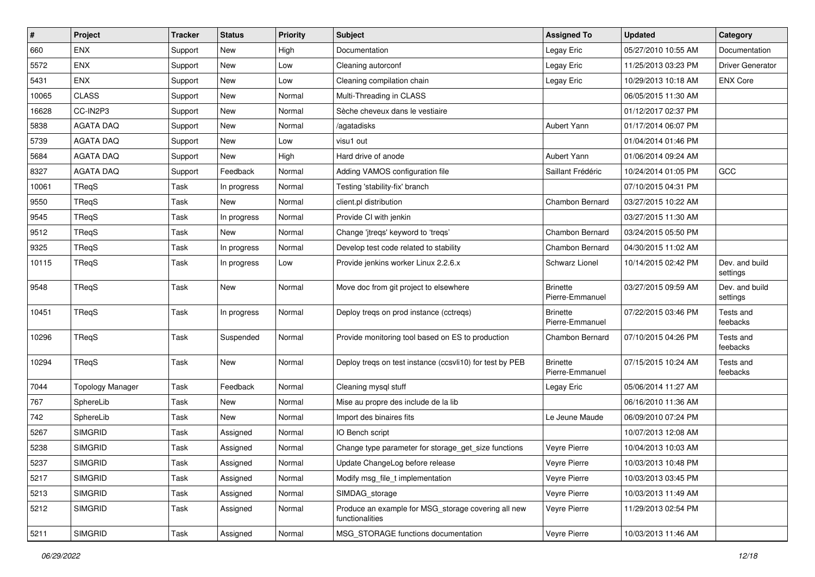| $\sharp$ | Project                 | <b>Tracker</b> | <b>Status</b> | <b>Priority</b> | Subject                                                                | <b>Assigned To</b>                 | <b>Updated</b>      | Category                   |
|----------|-------------------------|----------------|---------------|-----------------|------------------------------------------------------------------------|------------------------------------|---------------------|----------------------------|
| 660      | <b>ENX</b>              | Support        | New           | High            | Documentation                                                          | Legay Eric                         | 05/27/2010 10:55 AM | Documentation              |
| 5572     | ENX                     | Support        | New           | Low             | Cleaning autorconf                                                     | Legay Eric                         | 11/25/2013 03:23 PM | <b>Driver Generator</b>    |
| 5431     | <b>ENX</b>              | Support        | New           | Low             | Cleaning compilation chain                                             | Legay Eric                         | 10/29/2013 10:18 AM | <b>ENX Core</b>            |
| 10065    | <b>CLASS</b>            | Support        | New           | Normal          | Multi-Threading in CLASS                                               |                                    | 06/05/2015 11:30 AM |                            |
| 16628    | CC-IN2P3                | Support        | New           | Normal          | Sèche cheveux dans le vestiaire                                        |                                    | 01/12/2017 02:37 PM |                            |
| 5838     | <b>AGATA DAQ</b>        | Support        | New           | Normal          | /agatadisks                                                            | Aubert Yann                        | 01/17/2014 06:07 PM |                            |
| 5739     | <b>AGATA DAQ</b>        | Support        | New           | Low             | visu1 out                                                              |                                    | 01/04/2014 01:46 PM |                            |
| 5684     | <b>AGATA DAQ</b>        | Support        | New           | High            | Hard drive of anode                                                    | Aubert Yann                        | 01/06/2014 09:24 AM |                            |
| 8327     | <b>AGATA DAQ</b>        | Support        | Feedback      | Normal          | Adding VAMOS configuration file                                        | Saillant Frédéric                  | 10/24/2014 01:05 PM | GCC                        |
| 10061    | TReqS                   | Task           | In progress   | Normal          | Testing 'stability-fix' branch                                         |                                    | 07/10/2015 04:31 PM |                            |
| 9550     | TReqS                   | Task           | New           | Normal          | client.pl distribution                                                 | Chambon Bernard                    | 03/27/2015 10:22 AM |                            |
| 9545     | TReqS                   | Task           | In progress   | Normal          | Provide CI with jenkin                                                 |                                    | 03/27/2015 11:30 AM |                            |
| 9512     | TReqS                   | Task           | New           | Normal          | Change 'jtreqs' keyword to 'treqs'                                     | Chambon Bernard                    | 03/24/2015 05:50 PM |                            |
| 9325     | TReqS                   | Task           | In progress   | Normal          | Develop test code related to stability                                 | Chambon Bernard                    | 04/30/2015 11:02 AM |                            |
| 10115    | TReqS                   | Task           | In progress   | Low             | Provide jenkins worker Linux 2.2.6.x                                   | Schwarz Lionel                     | 10/14/2015 02:42 PM | Dev. and build<br>settings |
| 9548     | TReqS                   | Task           | New           | Normal          | Move doc from git project to elsewhere                                 | <b>Brinette</b><br>Pierre-Emmanuel | 03/27/2015 09:59 AM | Dev. and build<br>settings |
| 10451    | TReqS                   | Task           | In progress   | Normal          | Deploy treqs on prod instance (cctreqs)                                | <b>Brinette</b><br>Pierre-Emmanuel | 07/22/2015 03:46 PM | Tests and<br>feebacks      |
| 10296    | TReqS                   | Task           | Suspended     | Normal          | Provide monitoring tool based on ES to production                      | Chambon Bernard                    | 07/10/2015 04:26 PM | Tests and<br>feebacks      |
| 10294    | TReqS                   | Task           | New           | Normal          | Deploy treqs on test instance (ccsvli10) for test by PEB               | <b>Brinette</b><br>Pierre-Emmanuel | 07/15/2015 10:24 AM | Tests and<br>feebacks      |
| 7044     | <b>Topology Manager</b> | Task           | Feedback      | Normal          | Cleaning mysql stuff                                                   | Legay Eric                         | 05/06/2014 11:27 AM |                            |
| 767      | SphereLib               | Task           | New           | Normal          | Mise au propre des include de la lib                                   |                                    | 06/16/2010 11:36 AM |                            |
| 742      | SphereLib               | Task           | <b>New</b>    | Normal          | Import des binaires fits                                               | Le Jeune Maude                     | 06/09/2010 07:24 PM |                            |
| 5267     | <b>SIMGRID</b>          | Task           | Assigned      | Normal          | IO Bench script                                                        |                                    | 10/07/2013 12:08 AM |                            |
| 5238     | <b>SIMGRID</b>          | Task           | Assigned      | Normal          | Change type parameter for storage_get_size functions                   | Veyre Pierre                       | 10/04/2013 10:03 AM |                            |
| 5237     | <b>SIMGRID</b>          | Task           | Assigned      | Normal          | Update ChangeLog before release                                        | Veyre Pierre                       | 10/03/2013 10:48 PM |                            |
| 5217     | <b>SIMGRID</b>          | Task           | Assigned      | Normal          | Modify msg_file_t implementation                                       | Veyre Pierre                       | 10/03/2013 03:45 PM |                            |
| 5213     | <b>SIMGRID</b>          | Task           | Assigned      | Normal          | SIMDAG storage                                                         | Veyre Pierre                       | 10/03/2013 11:49 AM |                            |
| 5212     | <b>SIMGRID</b>          | Task           | Assigned      | Normal          | Produce an example for MSG storage covering all new<br>functionalities | Veyre Pierre                       | 11/29/2013 02:54 PM |                            |
| 5211     | <b>SIMGRID</b>          | Task           | Assigned      | Normal          | MSG_STORAGE functions documentation                                    | Veyre Pierre                       | 10/03/2013 11:46 AM |                            |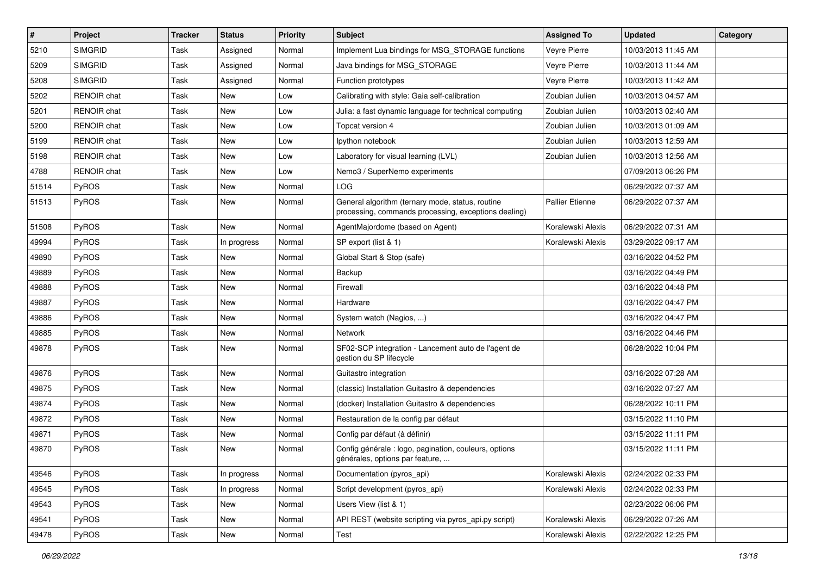| $\sharp$ | Project            | <b>Tracker</b> | <b>Status</b> | <b>Priority</b> | <b>Subject</b>                                                                                           | <b>Assigned To</b>     | <b>Updated</b>      | Category |
|----------|--------------------|----------------|---------------|-----------------|----------------------------------------------------------------------------------------------------------|------------------------|---------------------|----------|
| 5210     | <b>SIMGRID</b>     | Task           | Assigned      | Normal          | Implement Lua bindings for MSG_STORAGE functions                                                         | Veyre Pierre           | 10/03/2013 11:45 AM |          |
| 5209     | <b>SIMGRID</b>     | Task           | Assigned      | Normal          | Java bindings for MSG_STORAGE                                                                            | Veyre Pierre           | 10/03/2013 11:44 AM |          |
| 5208     | <b>SIMGRID</b>     | Task           | Assigned      | Normal          | Function prototypes                                                                                      | Veyre Pierre           | 10/03/2013 11:42 AM |          |
| 5202     | RENOIR chat        | Task           | New           | Low             | Calibrating with style: Gaia self-calibration                                                            | Zoubian Julien         | 10/03/2013 04:57 AM |          |
| 5201     | <b>RENOIR chat</b> | Task           | New           | Low             | Julia: a fast dynamic language for technical computing                                                   | Zoubian Julien         | 10/03/2013 02:40 AM |          |
| 5200     | <b>RENOIR</b> chat | Task           | New           | Low             | Topcat version 4                                                                                         | Zoubian Julien         | 10/03/2013 01:09 AM |          |
| 5199     | RENOIR chat        | Task           | New           | Low             | Ipython notebook                                                                                         | Zoubian Julien         | 10/03/2013 12:59 AM |          |
| 5198     | <b>RENOIR chat</b> | Task           | New           | Low             | Laboratory for visual learning (LVL)                                                                     | Zoubian Julien         | 10/03/2013 12:56 AM |          |
| 4788     | <b>RENOIR</b> chat | Task           | New           | Low             | Nemo3 / SuperNemo experiments                                                                            |                        | 07/09/2013 06:26 PM |          |
| 51514    | PyROS              | Task           | New           | Normal          | LOG                                                                                                      |                        | 06/29/2022 07:37 AM |          |
| 51513    | <b>PyROS</b>       | Task           | New           | Normal          | General algorithm (ternary mode, status, routine<br>processing, commands processing, exceptions dealing) | <b>Pallier Etienne</b> | 06/29/2022 07:37 AM |          |
| 51508    | PyROS              | Task           | <b>New</b>    | Normal          | AgentMajordome (based on Agent)                                                                          | Koralewski Alexis      | 06/29/2022 07:31 AM |          |
| 49994    | PyROS              | Task           | In progress   | Normal          | SP export (list & 1)                                                                                     | Koralewski Alexis      | 03/29/2022 09:17 AM |          |
| 49890    | PyROS              | Task           | New           | Normal          | Global Start & Stop (safe)                                                                               |                        | 03/16/2022 04:52 PM |          |
| 49889    | PyROS              | Task           | New           | Normal          | Backup                                                                                                   |                        | 03/16/2022 04:49 PM |          |
| 49888    | PyROS              | Task           | New           | Normal          | Firewall                                                                                                 |                        | 03/16/2022 04:48 PM |          |
| 49887    | PyROS              | Task           | New           | Normal          | Hardware                                                                                                 |                        | 03/16/2022 04:47 PM |          |
| 49886    | <b>PyROS</b>       | Task           | New           | Normal          | System watch (Nagios, )                                                                                  |                        | 03/16/2022 04:47 PM |          |
| 49885    | PyROS              | Task           | New           | Normal          | <b>Network</b>                                                                                           |                        | 03/16/2022 04:46 PM |          |
| 49878    | PyROS              | Task           | New           | Normal          | SF02-SCP integration - Lancement auto de l'agent de<br>gestion du SP lifecycle                           |                        | 06/28/2022 10:04 PM |          |
| 49876    | PyROS              | Task           | New           | Normal          | Guitastro integration                                                                                    |                        | 03/16/2022 07:28 AM |          |
| 49875    | <b>PyROS</b>       | Task           | New           | Normal          | (classic) Installation Guitastro & dependencies                                                          |                        | 03/16/2022 07:27 AM |          |
| 49874    | PyROS              | Task           | New           | Normal          | (docker) Installation Guitastro & dependencies                                                           |                        | 06/28/2022 10:11 PM |          |
| 49872    | PyROS              | Task           | New           | Normal          | Restauration de la config par défaut                                                                     |                        | 03/15/2022 11:10 PM |          |
| 49871    | PyROS              | Task           | New           | Normal          | Config par défaut (à définir)                                                                            |                        | 03/15/2022 11:11 PM |          |
| 49870    | PyROS              | Task           | New           | Normal          | Config générale : logo, pagination, couleurs, options<br>générales, options par feature,                 |                        | 03/15/2022 11:11 PM |          |
| 49546    | <b>PyROS</b>       | Task           | In progress   | Normal          | Documentation (pyros_api)                                                                                | Koralewski Alexis      | 02/24/2022 02:33 PM |          |
| 49545    | <b>PyROS</b>       | Task           | In progress   | Normal          | Script development (pyros_api)                                                                           | Koralewski Alexis      | 02/24/2022 02:33 PM |          |
| 49543    | <b>PyROS</b>       | Task           | New           | Normal          | Users View (list & 1)                                                                                    |                        | 02/23/2022 06:06 PM |          |
| 49541    | PyROS              | Task           | New           | Normal          | API REST (website scripting via pyros api.py script)                                                     | Koralewski Alexis      | 06/29/2022 07:26 AM |          |
| 49478    | PyROS              | Task           | New           | Normal          | Test                                                                                                     | Koralewski Alexis      | 02/22/2022 12:25 PM |          |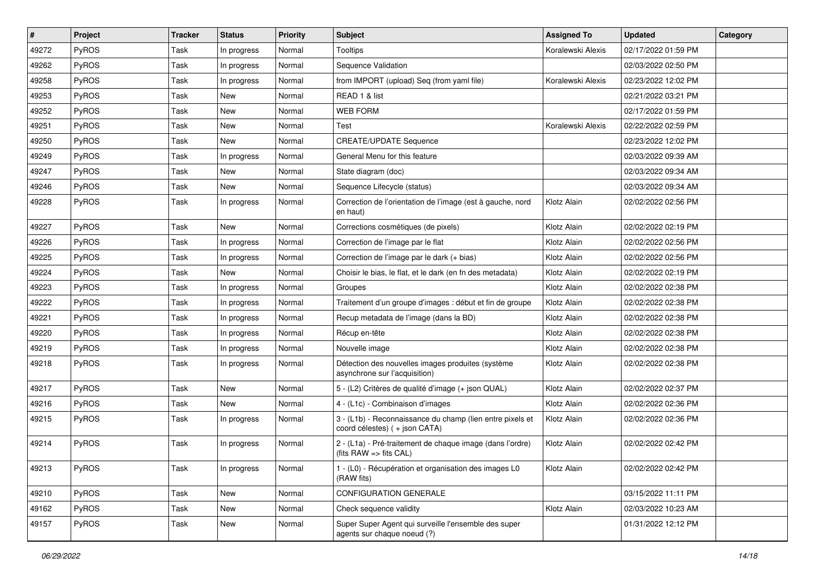| #     | Project      | <b>Tracker</b> | <b>Status</b> | <b>Priority</b> | <b>Subject</b>                                                                             | <b>Assigned To</b> | <b>Updated</b>      | Category |
|-------|--------------|----------------|---------------|-----------------|--------------------------------------------------------------------------------------------|--------------------|---------------------|----------|
| 49272 | PyROS        | Task           | In progress   | Normal          | <b>Tooltips</b>                                                                            | Koralewski Alexis  | 02/17/2022 01:59 PM |          |
| 49262 | PyROS        | Task           | In progress   | Normal          | Sequence Validation                                                                        |                    | 02/03/2022 02:50 PM |          |
| 49258 | PyROS        | Task           | In progress   | Normal          | from IMPORT (upload) Seq (from yaml file)                                                  | Koralewski Alexis  | 02/23/2022 12:02 PM |          |
| 49253 | PyROS        | Task           | New           | Normal          | READ 1 & list                                                                              |                    | 02/21/2022 03:21 PM |          |
| 49252 | PyROS        | Task           | New           | Normal          | <b>WEB FORM</b>                                                                            |                    | 02/17/2022 01:59 PM |          |
| 49251 | <b>PyROS</b> | Task           | New           | Normal          | Test                                                                                       | Koralewski Alexis  | 02/22/2022 02:59 PM |          |
| 49250 | PyROS        | Task           | <b>New</b>    | Normal          | <b>CREATE/UPDATE Sequence</b>                                                              |                    | 02/23/2022 12:02 PM |          |
| 49249 | PyROS        | Task           | In progress   | Normal          | General Menu for this feature                                                              |                    | 02/03/2022 09:39 AM |          |
| 49247 | PyROS        | Task           | New           | Normal          | State diagram (doc)                                                                        |                    | 02/03/2022 09:34 AM |          |
| 49246 | PyROS        | Task           | <b>New</b>    | Normal          | Sequence Lifecycle (status)                                                                |                    | 02/03/2022 09:34 AM |          |
| 49228 | <b>PyROS</b> | Task           | In progress   | Normal          | Correction de l'orientation de l'image (est à gauche, nord<br>en haut)                     | Klotz Alain        | 02/02/2022 02:56 PM |          |
| 49227 | PyROS        | Task           | New           | Normal          | Corrections cosmétiques (de pixels)                                                        | Klotz Alain        | 02/02/2022 02:19 PM |          |
| 49226 | PyROS        | Task           | In progress   | Normal          | Correction de l'image par le flat                                                          | Klotz Alain        | 02/02/2022 02:56 PM |          |
| 49225 | PyROS        | Task           | In progress   | Normal          | Correction de l'image par le dark (+ bias)                                                 | Klotz Alain        | 02/02/2022 02:56 PM |          |
| 49224 | PyROS        | Task           | New           | Normal          | Choisir le bias, le flat, et le dark (en fn des metadata)                                  | Klotz Alain        | 02/02/2022 02:19 PM |          |
| 49223 | PyROS        | Task           | In progress   | Normal          | Groupes                                                                                    | Klotz Alain        | 02/02/2022 02:38 PM |          |
| 49222 | PyROS        | Task           | In progress   | Normal          | Traitement d'un groupe d'images : début et fin de groupe                                   | Klotz Alain        | 02/02/2022 02:38 PM |          |
| 49221 | <b>PyROS</b> | Task           | In progress   | Normal          | Recup metadata de l'image (dans la BD)                                                     | Klotz Alain        | 02/02/2022 02:38 PM |          |
| 49220 | PyROS        | Task           | In progress   | Normal          | Récup en-tête                                                                              | Klotz Alain        | 02/02/2022 02:38 PM |          |
| 49219 | PyROS        | Task           | In progress   | Normal          | Nouvelle image                                                                             | Klotz Alain        | 02/02/2022 02:38 PM |          |
| 49218 | <b>PyROS</b> | Task           | In progress   | Normal          | Détection des nouvelles images produites (système<br>asynchrone sur l'acquisition)         | Klotz Alain        | 02/02/2022 02:38 PM |          |
| 49217 | <b>PyROS</b> | Task           | New           | Normal          | 5 - (L2) Critères de qualité d'image (+ json QUAL)                                         | Klotz Alain        | 02/02/2022 02:37 PM |          |
| 49216 | PyROS        | Task           | New           | Normal          | 4 - (L1c) - Combinaison d'images                                                           | Klotz Alain        | 02/02/2022 02:36 PM |          |
| 49215 | PyROS        | Task           | In progress   | Normal          | 3 - (L1b) - Reconnaissance du champ (lien entre pixels et<br>coord célestes) (+ json CATA) | Klotz Alain        | 02/02/2022 02:36 PM |          |
| 49214 | PyROS        | Task           | In progress   | Normal          | 2 - (L1a) - Pré-traitement de chaque image (dans l'ordre)<br>(fits $RAW =$ fits $CAL$ )    | Klotz Alain        | 02/02/2022 02:42 PM |          |
| 49213 | PyROS        | Task           | In progress   | Normal          | 1 - (L0) - Récupération et organisation des images L0<br>(RAW fits)                        | Klotz Alain        | 02/02/2022 02:42 PM |          |
| 49210 | PyROS        | Task           | New           | Normal          | <b>CONFIGURATION GENERALE</b>                                                              |                    | 03/15/2022 11:11 PM |          |
| 49162 | <b>PyROS</b> | Task           | New           | Normal          | Check sequence validity                                                                    | Klotz Alain        | 02/03/2022 10:23 AM |          |
| 49157 | PyROS        | Task           | New           | Normal          | Super Super Agent qui surveille l'ensemble des super<br>agents sur chaque noeud (?)        |                    | 01/31/2022 12:12 PM |          |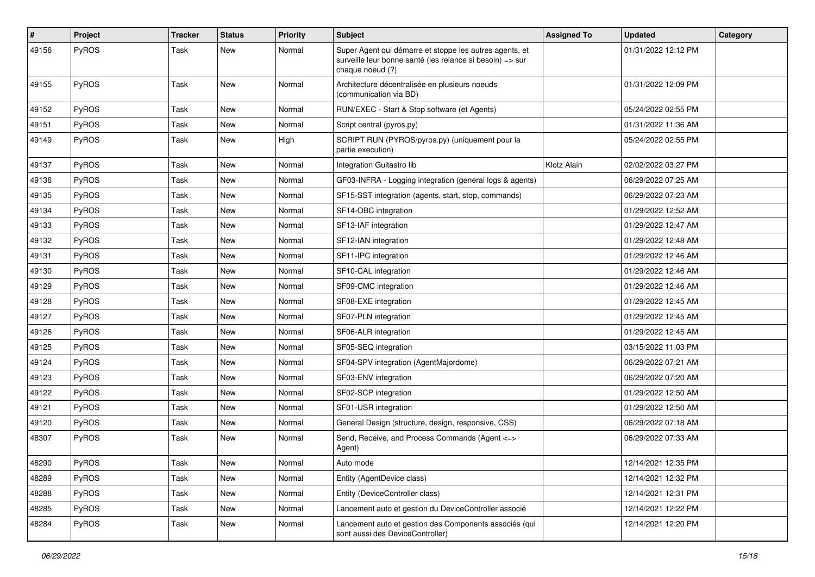| #     | <b>Project</b> | <b>Tracker</b> | <b>Status</b> | <b>Priority</b> | Subject                                                                                                                                  | <b>Assigned To</b> | <b>Updated</b>      | Category |
|-------|----------------|----------------|---------------|-----------------|------------------------------------------------------------------------------------------------------------------------------------------|--------------------|---------------------|----------|
| 49156 | PyROS          | Task           | New           | Normal          | Super Agent qui démarre et stoppe les autres agents, et<br>surveille leur bonne santé (les relance si besoin) => sur<br>chaque noeud (?) |                    | 01/31/2022 12:12 PM |          |
| 49155 | PyROS          | Task           | New           | Normal          | Architecture décentralisée en plusieurs noeuds<br>(communication via BD)                                                                 |                    | 01/31/2022 12:09 PM |          |
| 49152 | PyROS          | Task           | <b>New</b>    | Normal          | RUN/EXEC - Start & Stop software (et Agents)                                                                                             |                    | 05/24/2022 02:55 PM |          |
| 49151 | PyROS          | Task           | <b>New</b>    | Normal          | Script central (pyros.py)                                                                                                                |                    | 01/31/2022 11:36 AM |          |
| 49149 | PyROS          | Task           | New           | High            | SCRIPT RUN (PYROS/pyros.py) (uniquement pour la<br>partie execution)                                                                     |                    | 05/24/2022 02:55 PM |          |
| 49137 | PyROS          | Task           | <b>New</b>    | Normal          | Integration Guitastro lib                                                                                                                | Klotz Alain        | 02/02/2022 03:27 PM |          |
| 49136 | PyROS          | Task           | <b>New</b>    | Normal          | GF03-INFRA - Logging integration (general logs & agents)                                                                                 |                    | 06/29/2022 07:25 AM |          |
| 49135 | PyROS          | Task           | New           | Normal          | SF15-SST integration (agents, start, stop, commands)                                                                                     |                    | 06/29/2022 07:23 AM |          |
| 49134 | PyROS          | Task           | New           | Normal          | SF14-OBC integration                                                                                                                     |                    | 01/29/2022 12:52 AM |          |
| 49133 | PyROS          | Task           | New           | Normal          | SF13-IAF integration                                                                                                                     |                    | 01/29/2022 12:47 AM |          |
| 49132 | PyROS          | Task           | <b>New</b>    | Normal          | SF12-IAN integration                                                                                                                     |                    | 01/29/2022 12:48 AM |          |
| 49131 | PyROS          | Task           | New           | Normal          | SF11-IPC integration                                                                                                                     |                    | 01/29/2022 12:46 AM |          |
| 49130 | PyROS          | Task           | <b>New</b>    | Normal          | SF10-CAL integration                                                                                                                     |                    | 01/29/2022 12:46 AM |          |
| 49129 | PyROS          | Task           | <b>New</b>    | Normal          | SF09-CMC integration                                                                                                                     |                    | 01/29/2022 12:46 AM |          |
| 49128 | PyROS          | Task           | New           | Normal          | SF08-EXE integration                                                                                                                     |                    | 01/29/2022 12:45 AM |          |
| 49127 | PyROS          | Task           | <b>New</b>    | Normal          | SF07-PLN integration                                                                                                                     |                    | 01/29/2022 12:45 AM |          |
| 49126 | PyROS          | Task           | New           | Normal          | SF06-ALR integration                                                                                                                     |                    | 01/29/2022 12:45 AM |          |
| 49125 | PyROS          | Task           | <b>New</b>    | Normal          | SF05-SEQ integration                                                                                                                     |                    | 03/15/2022 11:03 PM |          |
| 49124 | PyROS          | Task           | <b>New</b>    | Normal          | SF04-SPV integration (AgentMajordome)                                                                                                    |                    | 06/29/2022 07:21 AM |          |
| 49123 | <b>PyROS</b>   | Task           | <b>New</b>    | Normal          | SF03-ENV integration                                                                                                                     |                    | 06/29/2022 07:20 AM |          |
| 49122 | PyROS          | Task           | New           | Normal          | SF02-SCP integration                                                                                                                     |                    | 01/29/2022 12:50 AM |          |
| 49121 | PyROS          | Task           | New           | Normal          | SF01-USR integration                                                                                                                     |                    | 01/29/2022 12:50 AM |          |
| 49120 | PyROS          | Task           | <b>New</b>    | Normal          | General Design (structure, design, responsive, CSS)                                                                                      |                    | 06/29/2022 07:18 AM |          |
| 48307 | PyROS          | Task           | New           | Normal          | Send, Receive, and Process Commands (Agent <=><br>Agent)                                                                                 |                    | 06/29/2022 07:33 AM |          |
| 48290 | PyROS          | Task           | New           | Normal          | Auto mode                                                                                                                                |                    | 12/14/2021 12:35 PM |          |
| 48289 | PyROS          | Task           | New           | Normal          | Entity (AgentDevice class)                                                                                                               |                    | 12/14/2021 12:32 PM |          |
| 48288 | PyROS          | Task           | New           | Normal          | Entity (DeviceController class)                                                                                                          |                    | 12/14/2021 12:31 PM |          |
| 48285 | PyROS          | Task           | New           | Normal          | Lancement auto et gestion du DeviceController associé                                                                                    |                    | 12/14/2021 12:22 PM |          |
| 48284 | PyROS          | Task           | New           | Normal          | Lancement auto et gestion des Components associés (qui<br>sont aussi des DeviceController)                                               |                    | 12/14/2021 12:20 PM |          |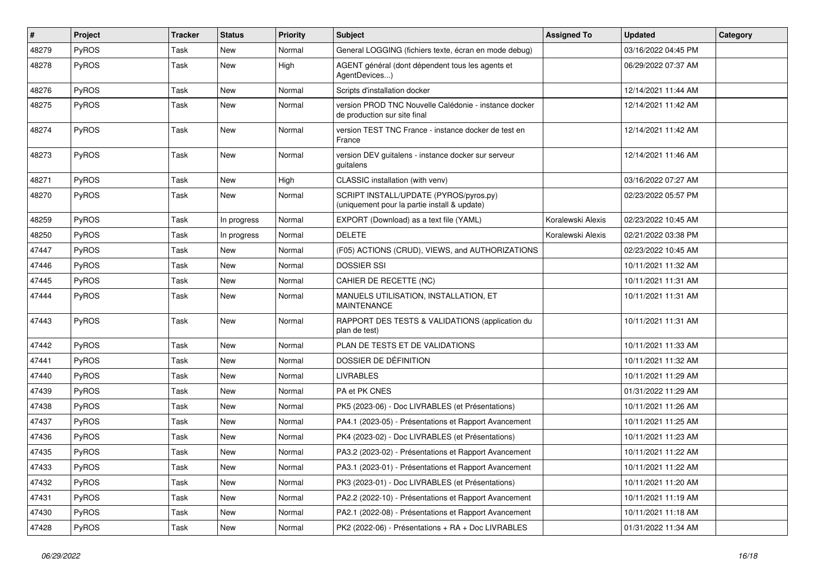| #     | <b>Project</b> | <b>Tracker</b> | <b>Status</b> | <b>Priority</b> | <b>Subject</b>                                                                         | <b>Assigned To</b> | <b>Updated</b>      | Category |
|-------|----------------|----------------|---------------|-----------------|----------------------------------------------------------------------------------------|--------------------|---------------------|----------|
| 48279 | PyROS          | Task           | New           | Normal          | General LOGGING (fichiers texte, écran en mode debug)                                  |                    | 03/16/2022 04:45 PM |          |
| 48278 | PyROS          | Task           | New           | High            | AGENT général (dont dépendent tous les agents et<br>AgentDevices)                      |                    | 06/29/2022 07:37 AM |          |
| 48276 | PyROS          | <b>Task</b>    | <b>New</b>    | Normal          | Scripts d'installation docker                                                          |                    | 12/14/2021 11:44 AM |          |
| 48275 | <b>PyROS</b>   | Task           | New           | Normal          | version PROD TNC Nouvelle Calédonie - instance docker<br>de production sur site final  |                    | 12/14/2021 11:42 AM |          |
| 48274 | PyROS          | Task           | <b>New</b>    | Normal          | version TEST TNC France - instance docker de test en<br>France                         |                    | 12/14/2021 11:42 AM |          |
| 48273 | PyROS          | Task           | <b>New</b>    | Normal          | version DEV guitalens - instance docker sur serveur<br>guitalens                       |                    | 12/14/2021 11:46 AM |          |
| 48271 | PyROS          | Task           | <b>New</b>    | High            | CLASSIC installation (with venv)                                                       |                    | 03/16/2022 07:27 AM |          |
| 48270 | PyROS          | <b>Task</b>    | New           | Normal          | SCRIPT INSTALL/UPDATE (PYROS/pyros.py)<br>(uniquement pour la partie install & update) |                    | 02/23/2022 05:57 PM |          |
| 48259 | PyROS          | Task           | In progress   | Normal          | EXPORT (Download) as a text file (YAML)                                                | Koralewski Alexis  | 02/23/2022 10:45 AM |          |
| 48250 | PyROS          | Task           | In progress   | Normal          | <b>DELETE</b>                                                                          | Koralewski Alexis  | 02/21/2022 03:38 PM |          |
| 47447 | PyROS          | Task           | New           | Normal          | (F05) ACTIONS (CRUD), VIEWS, and AUTHORIZATIONS                                        |                    | 02/23/2022 10:45 AM |          |
| 47446 | PyROS          | Task           | <b>New</b>    | Normal          | <b>DOSSIER SSI</b>                                                                     |                    | 10/11/2021 11:32 AM |          |
| 47445 | PyROS          | Task           | <b>New</b>    | Normal          | CAHIER DE RECETTE (NC)                                                                 |                    | 10/11/2021 11:31 AM |          |
| 47444 | PyROS          | Task           | New           | Normal          | MANUELS UTILISATION, INSTALLATION, ET<br><b>MAINTENANCE</b>                            |                    | 10/11/2021 11:31 AM |          |
| 47443 | PyROS          | Task           | New           | Normal          | RAPPORT DES TESTS & VALIDATIONS (application du<br>plan de test)                       |                    | 10/11/2021 11:31 AM |          |
| 47442 | PyROS          | <b>Task</b>    | <b>New</b>    | Normal          | PLAN DE TESTS ET DE VALIDATIONS                                                        |                    | 10/11/2021 11:33 AM |          |
| 47441 | PyROS          | Task           | New           | Normal          | DOSSIER DE DÉFINITION                                                                  |                    | 10/11/2021 11:32 AM |          |
| 47440 | PyROS          | Task           | <b>New</b>    | Normal          | <b>LIVRABLES</b>                                                                       |                    | 10/11/2021 11:29 AM |          |
| 47439 | PyROS          | Task           | <b>New</b>    | Normal          | PA et PK CNES                                                                          |                    | 01/31/2022 11:29 AM |          |
| 47438 | PyROS          | Task           | New           | Normal          | PK5 (2023-06) - Doc LIVRABLES (et Présentations)                                       |                    | 10/11/2021 11:26 AM |          |
| 47437 | PyROS          | Task           | <b>New</b>    | Normal          | PA4.1 (2023-05) - Présentations et Rapport Avancement                                  |                    | 10/11/2021 11:25 AM |          |
| 47436 | PyROS          | Task           | <b>New</b>    | Normal          | PK4 (2023-02) - Doc LIVRABLES (et Présentations)                                       |                    | 10/11/2021 11:23 AM |          |
| 47435 | PyROS          | Task           | New           | Normal          | PA3.2 (2023-02) - Présentations et Rapport Avancement                                  |                    | 10/11/2021 11:22 AM |          |
| 47433 | PyROS          | Task           | New           | Normal          | PA3.1 (2023-01) - Présentations et Rapport Avancement                                  |                    | 10/11/2021 11:22 AM |          |
| 47432 | PyROS          | Task           | New           | Normal          | PK3 (2023-01) - Doc LIVRABLES (et Présentations)                                       |                    | 10/11/2021 11:20 AM |          |
| 47431 | PyROS          | Task           | New           | Normal          | PA2.2 (2022-10) - Présentations et Rapport Avancement                                  |                    | 10/11/2021 11:19 AM |          |
| 47430 | PyROS          | Task           | New           | Normal          | PA2.1 (2022-08) - Présentations et Rapport Avancement                                  |                    | 10/11/2021 11:18 AM |          |
| 47428 | PyROS          | Task           | New           | Normal          | PK2 (2022-06) - Présentations + RA + Doc LIVRABLES                                     |                    | 01/31/2022 11:34 AM |          |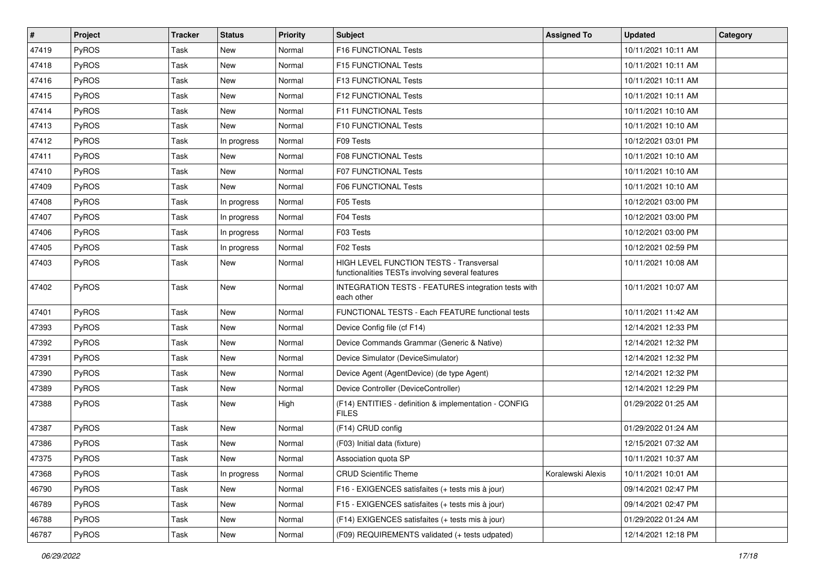| $\sharp$ | <b>Project</b> | <b>Tracker</b> | <b>Status</b> | <b>Priority</b> | <b>Subject</b>                                                                              | <b>Assigned To</b> | <b>Updated</b>      | Category |
|----------|----------------|----------------|---------------|-----------------|---------------------------------------------------------------------------------------------|--------------------|---------------------|----------|
| 47419    | PyROS          | Task           | New           | Normal          | F16 FUNCTIONAL Tests                                                                        |                    | 10/11/2021 10:11 AM |          |
| 47418    | PyROS          | Task           | New           | Normal          | F15 FUNCTIONAL Tests                                                                        |                    | 10/11/2021 10:11 AM |          |
| 47416    | <b>PyROS</b>   | Task           | New           | Normal          | F13 FUNCTIONAL Tests                                                                        |                    | 10/11/2021 10:11 AM |          |
| 47415    | PyROS          | Task           | New           | Normal          | F12 FUNCTIONAL Tests                                                                        |                    | 10/11/2021 10:11 AM |          |
| 47414    | PyROS          | Task           | New           | Normal          | F11 FUNCTIONAL Tests                                                                        |                    | 10/11/2021 10:10 AM |          |
| 47413    | <b>PyROS</b>   | Task           | New           | Normal          | F10 FUNCTIONAL Tests                                                                        |                    | 10/11/2021 10:10 AM |          |
| 47412    | PyROS          | Task           | In progress   | Normal          | F09 Tests                                                                                   |                    | 10/12/2021 03:01 PM |          |
| 47411    | PyROS          | Task           | New           | Normal          | <b>F08 FUNCTIONAL Tests</b>                                                                 |                    | 10/11/2021 10:10 AM |          |
| 47410    | PyROS          | Task           | New           | Normal          | <b>F07 FUNCTIONAL Tests</b>                                                                 |                    | 10/11/2021 10:10 AM |          |
| 47409    | PyROS          | Task           | <b>New</b>    | Normal          | F06 FUNCTIONAL Tests                                                                        |                    | 10/11/2021 10:10 AM |          |
| 47408    | <b>PyROS</b>   | Task           | In progress   | Normal          | F05 Tests                                                                                   |                    | 10/12/2021 03:00 PM |          |
| 47407    | PyROS          | Task           | In progress   | Normal          | F04 Tests                                                                                   |                    | 10/12/2021 03:00 PM |          |
| 47406    | PyROS          | Task           | In progress   | Normal          | F03 Tests                                                                                   |                    | 10/12/2021 03:00 PM |          |
| 47405    | <b>PyROS</b>   | Task           | In progress   | Normal          | F02 Tests                                                                                   |                    | 10/12/2021 02:59 PM |          |
| 47403    | PyROS          | Task           | New           | Normal          | HIGH LEVEL FUNCTION TESTS - Transversal<br>functionalities TESTs involving several features |                    | 10/11/2021 10:08 AM |          |
| 47402    | PyROS          | Task           | New           | Normal          | INTEGRATION TESTS - FEATURES integration tests with<br>each other                           |                    | 10/11/2021 10:07 AM |          |
| 47401    | <b>PyROS</b>   | Task           | New           | Normal          | FUNCTIONAL TESTS - Each FEATURE functional tests                                            |                    | 10/11/2021 11:42 AM |          |
| 47393    | PyROS          | Task           | New           | Normal          | Device Config file (cf F14)                                                                 |                    | 12/14/2021 12:33 PM |          |
| 47392    | PyROS          | Task           | New           | Normal          | Device Commands Grammar (Generic & Native)                                                  |                    | 12/14/2021 12:32 PM |          |
| 47391    | PyROS          | Task           | New           | Normal          | Device Simulator (DeviceSimulator)                                                          |                    | 12/14/2021 12:32 PM |          |
| 47390    | PyROS          | Task           | New           | Normal          | Device Agent (AgentDevice) (de type Agent)                                                  |                    | 12/14/2021 12:32 PM |          |
| 47389    | PyROS          | Task           | New           | Normal          | Device Controller (DeviceController)                                                        |                    | 12/14/2021 12:29 PM |          |
| 47388    | PyROS          | Task           | New           | High            | (F14) ENTITIES - definition & implementation - CONFIG<br><b>FILES</b>                       |                    | 01/29/2022 01:25 AM |          |
| 47387    | <b>PyROS</b>   | Task           | New           | Normal          | (F14) CRUD config                                                                           |                    | 01/29/2022 01:24 AM |          |
| 47386    | PyROS          | Task           | New           | Normal          | (F03) Initial data (fixture)                                                                |                    | 12/15/2021 07:32 AM |          |
| 47375    | PyROS          | Task           | New           | Normal          | Association quota SP                                                                        |                    | 10/11/2021 10:37 AM |          |
| 47368    | <b>PyROS</b>   | Task           | In progress   | Normal          | <b>CRUD Scientific Theme</b>                                                                | Koralewski Alexis  | 10/11/2021 10:01 AM |          |
| 46790    | PyROS          | Task           | New           | Normal          | F16 - EXIGENCES satisfaites (+ tests mis à jour)                                            |                    | 09/14/2021 02:47 PM |          |
| 46789    | <b>PyROS</b>   | Task           | New           | Normal          | F15 - EXIGENCES satisfaites (+ tests mis à jour)                                            |                    | 09/14/2021 02:47 PM |          |
| 46788    | PyROS          | Task           | New           | Normal          | (F14) EXIGENCES satisfaites (+ tests mis à jour)                                            |                    | 01/29/2022 01:24 AM |          |
| 46787    | PyROS          | Task           | New           | Normal          | (F09) REQUIREMENTS validated (+ tests udpated)                                              |                    | 12/14/2021 12:18 PM |          |